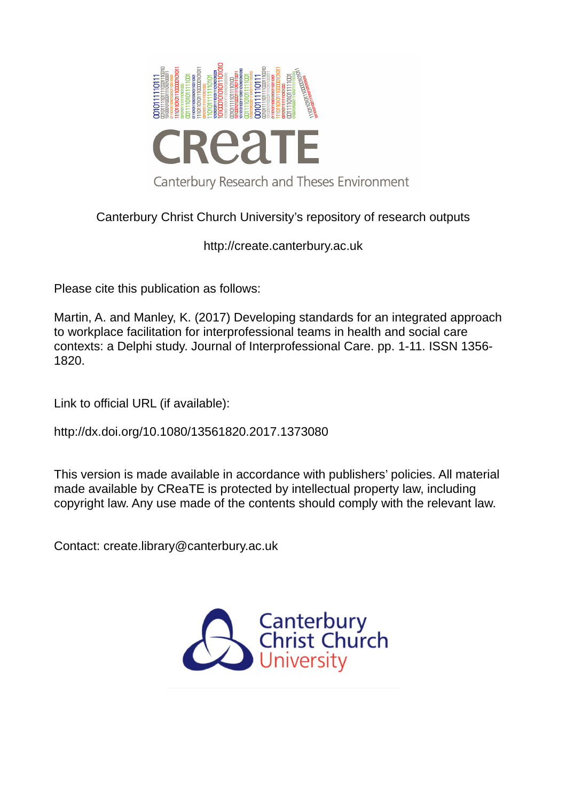

# Canterbury Christ Church University's repository of research outputs

http://create.canterbury.ac.uk

Please cite this publication as follows:

Martin, A. and Manley, K. (2017) Developing standards for an integrated approach to workplace facilitation for interprofessional teams in health and social care contexts: a Delphi study. Journal of Interprofessional Care. pp. 1-11. ISSN 1356- 1820.

Link to official URL (if available):

http://dx.doi.org/10.1080/13561820.2017.1373080

This version is made available in accordance with publishers' policies. All material made available by CReaTE is protected by intellectual property law, including copyright law. Any use made of the contents should comply with the relevant law.

Contact: create.library@canterbury.ac.uk

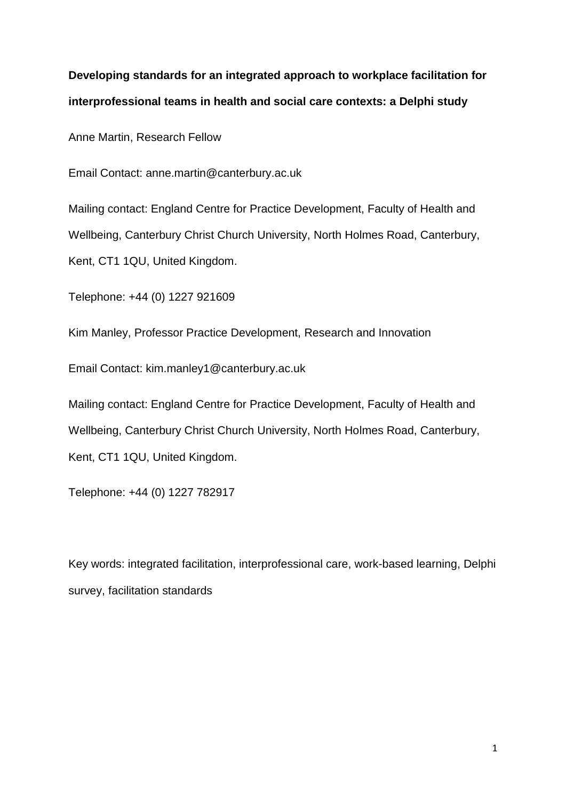# **Developing standards for an integrated approach to workplace facilitation for interprofessional teams in health and social care contexts: a Delphi study**

Anne Martin, Research Fellow

Email Contact: anne.martin@canterbury.ac.uk

Mailing contact: England Centre for Practice Development, Faculty of Health and Wellbeing, Canterbury Christ Church University, North Holmes Road, Canterbury, Kent, CT1 1QU, United Kingdom.

Telephone: +44 (0) 1227 921609

Kim Manley, Professor Practice Development, Research and Innovation

Email Contact: [kim.manley1@canterbury.ac.uk](mailto:kim.manley1@canterbury.ac.uk)

Mailing contact: England Centre for Practice Development, Faculty of Health and Wellbeing, Canterbury Christ Church University, North Holmes Road, Canterbury, Kent, CT1 1QU, United Kingdom.

Telephone: +44 (0) 1227 782917

Key words: integrated facilitation, interprofessional care, work-based learning, Delphi survey, facilitation standards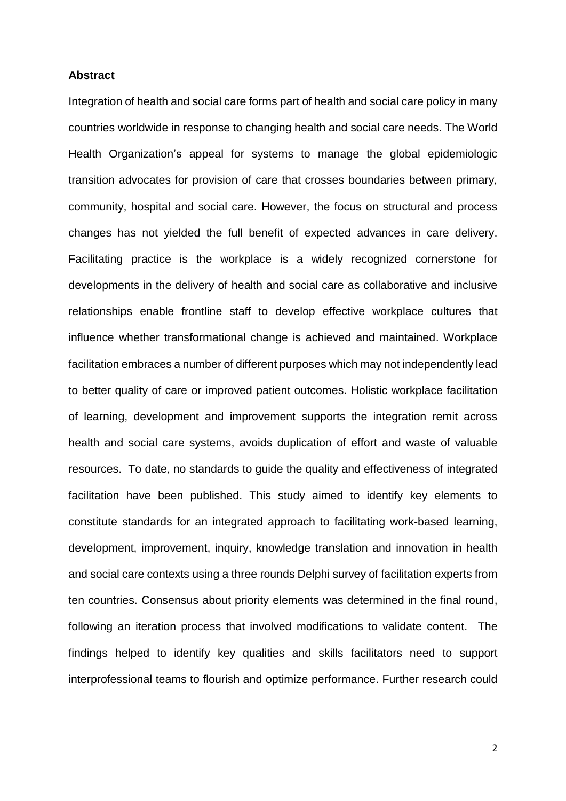#### **Abstract**

Integration of health and social care forms part of health and social care policy in many countries worldwide in response to changing health and social care needs. The World Health Organization's appeal for systems to manage the global epidemiologic transition advocates for provision of care that crosses boundaries between primary, community, hospital and social care. However, the focus on structural and process changes has not yielded the full benefit of expected advances in care delivery. Facilitating practice is the workplace is a widely recognized cornerstone for developments in the delivery of health and social care as collaborative and inclusive relationships enable frontline staff to develop effective workplace cultures that influence whether transformational change is achieved and maintained. Workplace facilitation embraces a number of different purposes which may not independently lead to better quality of care or improved patient outcomes. Holistic workplace facilitation of learning, development and improvement supports the integration remit across health and social care systems, avoids duplication of effort and waste of valuable resources. To date, no standards to guide the quality and effectiveness of integrated facilitation have been published. This study aimed to identify key elements to constitute standards for an integrated approach to facilitating work-based learning, development, improvement, inquiry, knowledge translation and innovation in health and social care contexts using a three rounds Delphi survey of facilitation experts from ten countries. Consensus about priority elements was determined in the final round, following an iteration process that involved modifications to validate content. The findings helped to identify key qualities and skills facilitators need to support interprofessional teams to flourish and optimize performance. Further research could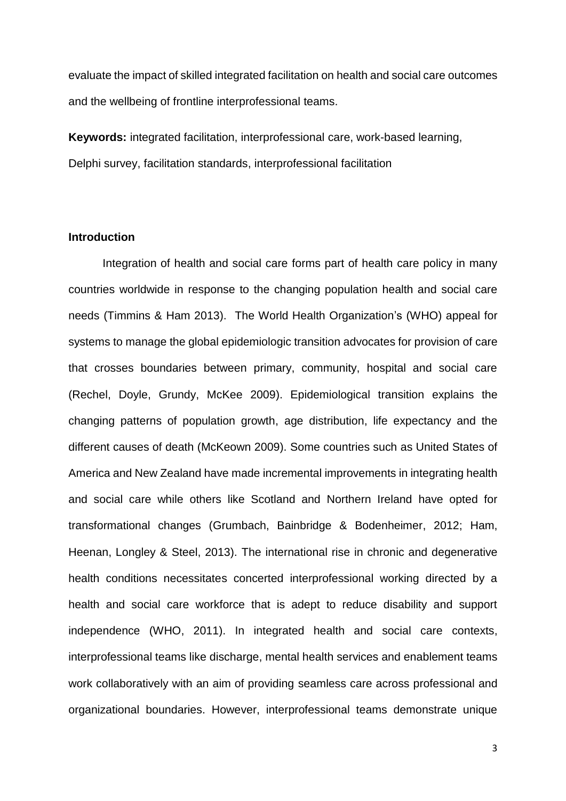evaluate the impact of skilled integrated facilitation on health and social care outcomes and the wellbeing of frontline interprofessional teams.

**Keywords:** integrated facilitation, interprofessional care, work-based learning, Delphi survey, facilitation standards, interprofessional facilitation

### **Introduction**

Integration of health and social care forms part of health care policy in many countries worldwide in response to the changing population health and social care needs (Timmins & Ham 2013). The World Health Organization's (WHO) appeal for systems to manage the global epidemiologic transition advocates for provision of care that crosses boundaries between primary, community, hospital and social care (Rechel, Doyle, Grundy, McKee 2009). Epidemiological transition explains the changing patterns of population growth, age distribution, life expectancy and the different causes of death (McKeown 2009). Some countries such as United States of America and New Zealand have made incremental improvements in integrating health and social care while others like Scotland and Northern Ireland have opted for transformational changes (Grumbach, Bainbridge & Bodenheimer, 2012; Ham, Heenan, Longley & Steel, 2013). The international rise in chronic and degenerative health conditions necessitates concerted interprofessional working directed by a health and social care workforce that is adept to reduce disability and support independence (WHO, 2011). In integrated health and social care contexts, interprofessional teams like discharge, mental health services and enablement teams work collaboratively with an aim of providing seamless care across professional and organizational boundaries. However, interprofessional teams demonstrate unique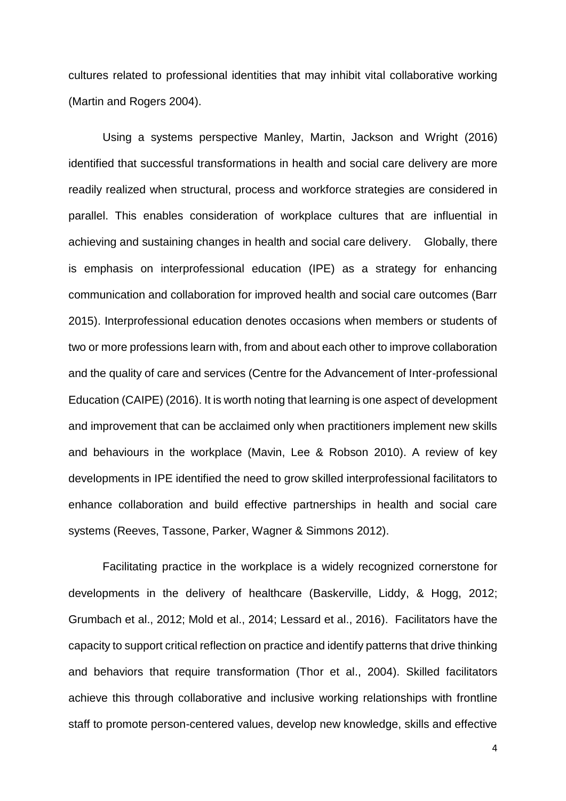cultures related to professional identities that may inhibit vital collaborative working (Martin and Rogers 2004).

Using a systems perspective Manley, Martin, Jackson and Wright (2016) identified that successful transformations in health and social care delivery are more readily realized when structural, process and workforce strategies are considered in parallel. This enables consideration of workplace cultures that are influential in achieving and sustaining changes in health and social care delivery. Globally, there is emphasis on interprofessional education (IPE) as a strategy for enhancing communication and collaboration for improved health and social care outcomes (Barr 2015). Interprofessional education denotes occasions when members or students of two or more professions learn with, from and about each other to improve collaboration and the quality of care and services (Centre for the Advancement of Inter-professional Education (CAIPE) (2016). It is worth noting that learning is one aspect of development and improvement that can be acclaimed only when practitioners implement new skills and behaviours in the workplace (Mavin, Lee & Robson 2010). A review of key developments in IPE identified the need to grow skilled interprofessional facilitators to enhance collaboration and build effective partnerships in health and social care systems (Reeves, Tassone, Parker, Wagner & Simmons 2012).

Facilitating practice in the workplace is a widely recognized cornerstone for developments in the delivery of healthcare (Baskerville, Liddy, & Hogg, 2012; Grumbach et al., 2012; Mold et al., 2014; Lessard et al., 2016). Facilitators have the capacity to support critical reflection on practice and identify patterns that drive thinking and behaviors that require transformation (Thor et al., 2004). Skilled facilitators achieve this through collaborative and inclusive working relationships with frontline staff to promote person-centered values, develop new knowledge, skills and effective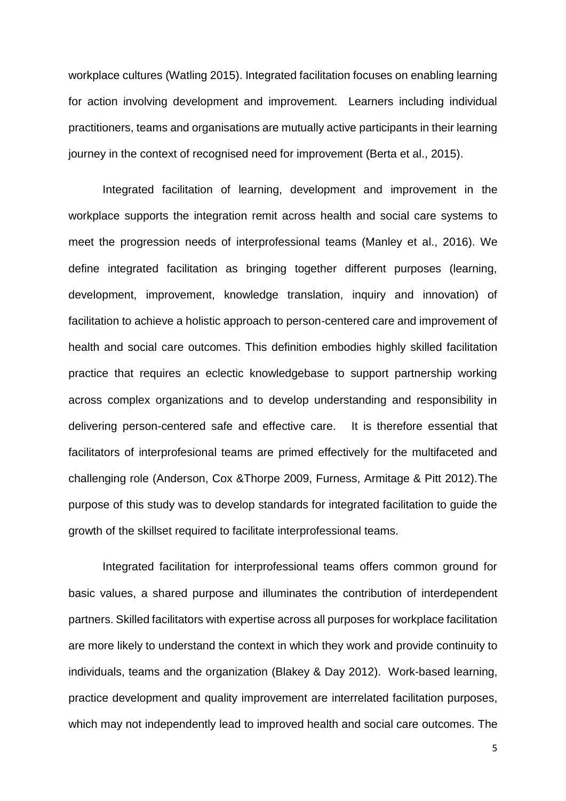workplace cultures (Watling 2015). Integrated facilitation focuses on enabling learning for action involving development and improvement. Learners including individual practitioners, teams and organisations are mutually active participants in their learning journey in the context of recognised need for improvement (Berta et al., 2015).

Integrated facilitation of learning, development and improvement in the workplace supports the integration remit across health and social care systems to meet the progression needs of interprofessional teams (Manley et al., 2016). We define integrated facilitation as bringing together different purposes (learning, development, improvement, knowledge translation, inquiry and innovation) of facilitation to achieve a holistic approach to person-centered care and improvement of health and social care outcomes. This definition embodies highly skilled facilitation practice that requires an eclectic knowledgebase to support partnership working across complex organizations and to develop understanding and responsibility in delivering person-centered safe and effective care. It is therefore essential that facilitators of interprofesional teams are primed effectively for the multifaceted and challenging role (Anderson, Cox &Thorpe 2009, Furness, Armitage & Pitt 2012).The purpose of this study was to develop standards for integrated facilitation to guide the growth of the skillset required to facilitate interprofessional teams.

Integrated facilitation for interprofessional teams offers common ground for basic values, a shared purpose and illuminates the contribution of interdependent partners. Skilled facilitators with expertise across all purposes for workplace facilitation are more likely to understand the context in which they work and provide continuity to individuals, teams and the organization (Blakey & Day 2012). Work-based learning, practice development and quality improvement are interrelated facilitation purposes, which may not independently lead to improved health and social care outcomes. The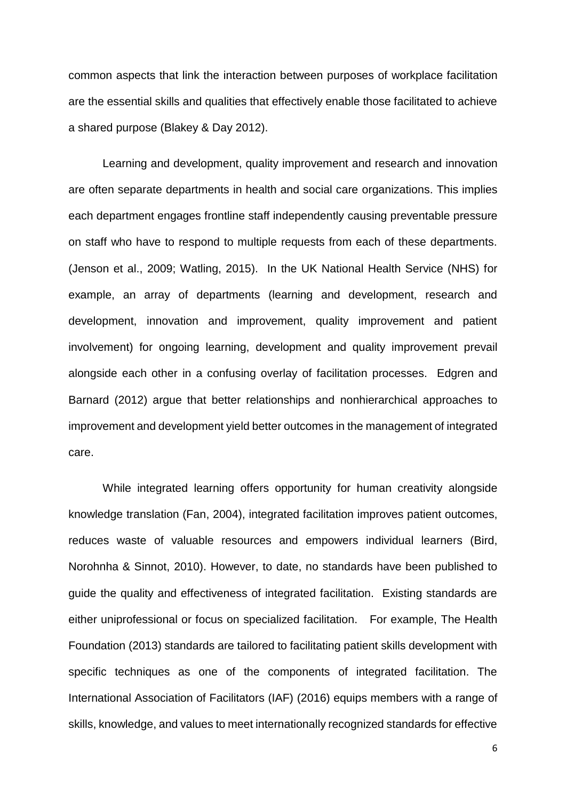common aspects that link the interaction between purposes of workplace facilitation are the essential skills and qualities that effectively enable those facilitated to achieve a shared purpose (Blakey & Day 2012).

Learning and development, quality improvement and research and innovation are often separate departments in health and social care organizations. This implies each department engages frontline staff independently causing preventable pressure on staff who have to respond to multiple requests from each of these departments. (Jenson et al., 2009; Watling, 2015). In the UK National Health Service (NHS) for example, an array of departments (learning and development, research and development, innovation and improvement, quality improvement and patient involvement) for ongoing learning, development and quality improvement prevail alongside each other in a confusing overlay of facilitation processes. Edgren and Barnard (2012) argue that better relationships and nonhierarchical approaches to improvement and development yield better outcomes in the management of integrated care.

While integrated learning offers opportunity for human creativity alongside knowledge translation (Fan, 2004), integrated facilitation improves patient outcomes, reduces waste of valuable resources and empowers individual learners (Bird, Norohnha & Sinnot, 2010). However, to date, no standards have been published to guide the quality and effectiveness of integrated facilitation. Existing standards are either uniprofessional or focus on specialized facilitation. For example, The Health Foundation (2013) standards are tailored to facilitating patient skills development with specific techniques as one of the components of integrated facilitation. The International Association of Facilitators (IAF) (2016) equips members with a range of skills, knowledge, and values to meet internationally recognized standards for effective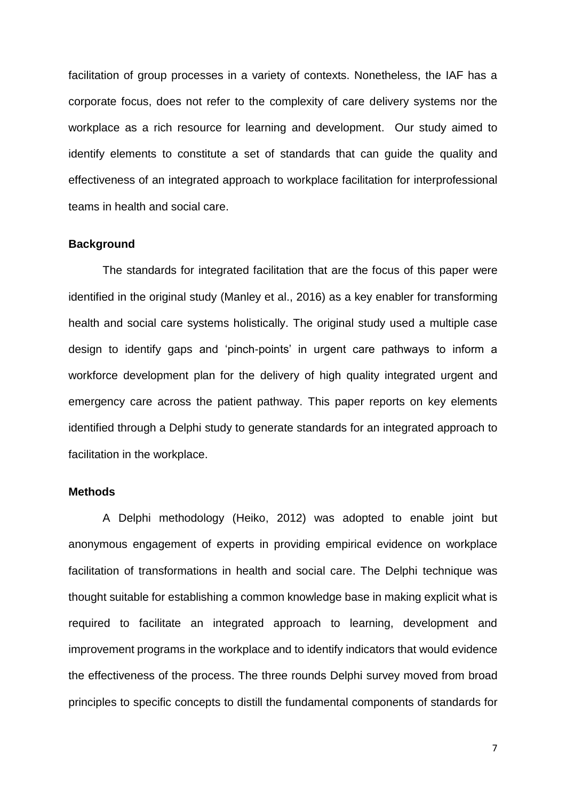facilitation of group processes in a variety of contexts. Nonetheless, the IAF has a corporate focus, does not refer to the complexity of care delivery systems nor the workplace as a rich resource for learning and development. Our study aimed to identify elements to constitute a set of standards that can guide the quality and effectiveness of an integrated approach to workplace facilitation for interprofessional teams in health and social care.

#### **Background**

The standards for integrated facilitation that are the focus of this paper were identified in the original study (Manley et al., 2016) as a key enabler for transforming health and social care systems holistically. The original study used a multiple case design to identify gaps and 'pinch-points' in urgent care pathways to inform a workforce development plan for the delivery of high quality integrated urgent and emergency care across the patient pathway. This paper reports on key elements identified through a Delphi study to generate standards for an integrated approach to facilitation in the workplace.

#### **Methods**

A Delphi methodology (Heiko, 2012) was adopted to enable joint but anonymous engagement of experts in providing empirical evidence on workplace facilitation of transformations in health and social care. The Delphi technique was thought suitable for establishing a common knowledge base in making explicit what is required to facilitate an integrated approach to learning, development and improvement programs in the workplace and to identify indicators that would evidence the effectiveness of the process. The three rounds Delphi survey moved from broad principles to specific concepts to distill the fundamental components of standards for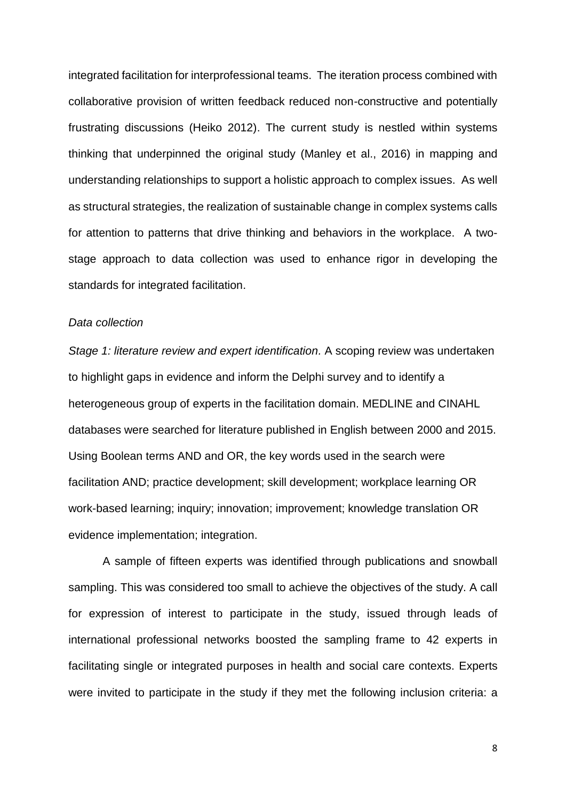integrated facilitation for interprofessional teams. The iteration process combined with collaborative provision of written feedback reduced non-constructive and potentially frustrating discussions (Heiko 2012). The current study is nestled within systems thinking that underpinned the original study (Manley et al., 2016) in mapping and understanding relationships to support a holistic approach to complex issues. As well as structural strategies, the realization of sustainable change in complex systems calls for attention to patterns that drive thinking and behaviors in the workplace. A twostage approach to data collection was used to enhance rigor in developing the standards for integrated facilitation.

#### *Data collection*

*Stage 1: literature review and expert identification.* A scoping review was undertaken to highlight gaps in evidence and inform the Delphi survey and to identify a heterogeneous group of experts in the facilitation domain. MEDLINE and CINAHL databases were searched for literature published in English between 2000 and 2015. Using Boolean terms AND and OR, the key words used in the search were facilitation AND; practice development; skill development; workplace learning OR work-based learning; inquiry; innovation; improvement; knowledge translation OR evidence implementation; integration.

A sample of fifteen experts was identified through publications and snowball sampling. This was considered too small to achieve the objectives of the study. A call for expression of interest to participate in the study, issued through leads of international professional networks boosted the sampling frame to 42 experts in facilitating single or integrated purposes in health and social care contexts. Experts were invited to participate in the study if they met the following inclusion criteria: a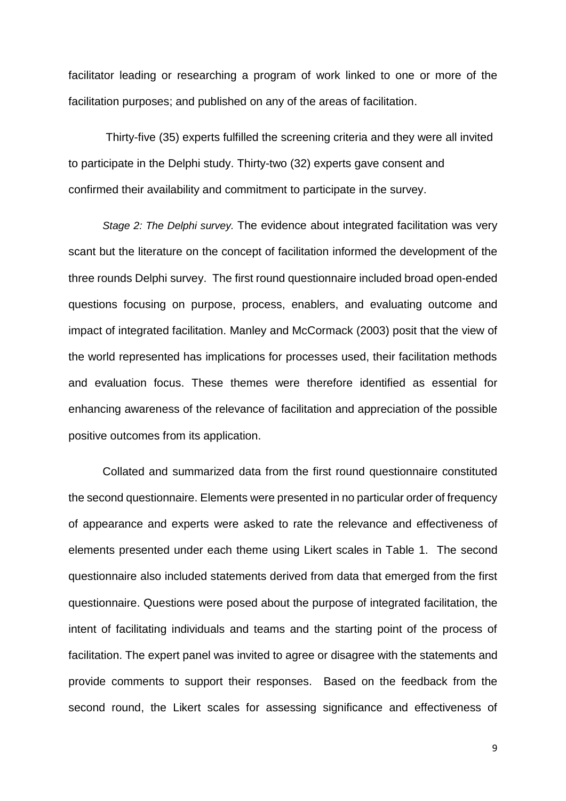facilitator leading or researching a program of work linked to one or more of the facilitation purposes; and published on any of the areas of facilitation.

Thirty-five (35) experts fulfilled the screening criteria and they were all invited to participate in the Delphi study. Thirty-two (32) experts gave consent and confirmed their availability and commitment to participate in the survey.

*Stage 2: The Delphi survey.* The evidence about integrated facilitation was very scant but the literature on the concept of facilitation informed the development of the three rounds Delphi survey. The first round questionnaire included broad open-ended questions focusing on purpose, process, enablers, and evaluating outcome and impact of integrated facilitation. Manley and McCormack (2003) posit that the view of the world represented has implications for processes used, their facilitation methods and evaluation focus. These themes were therefore identified as essential for enhancing awareness of the relevance of facilitation and appreciation of the possible positive outcomes from its application.

Collated and summarized data from the first round questionnaire constituted the second questionnaire. Elements were presented in no particular order of frequency of appearance and experts were asked to rate the relevance and effectiveness of elements presented under each theme using Likert scales in Table 1. The second questionnaire also included statements derived from data that emerged from the first questionnaire. Questions were posed about the purpose of integrated facilitation, the intent of facilitating individuals and teams and the starting point of the process of facilitation. The expert panel was invited to agree or disagree with the statements and provide comments to support their responses. Based on the feedback from the second round, the Likert scales for assessing significance and effectiveness of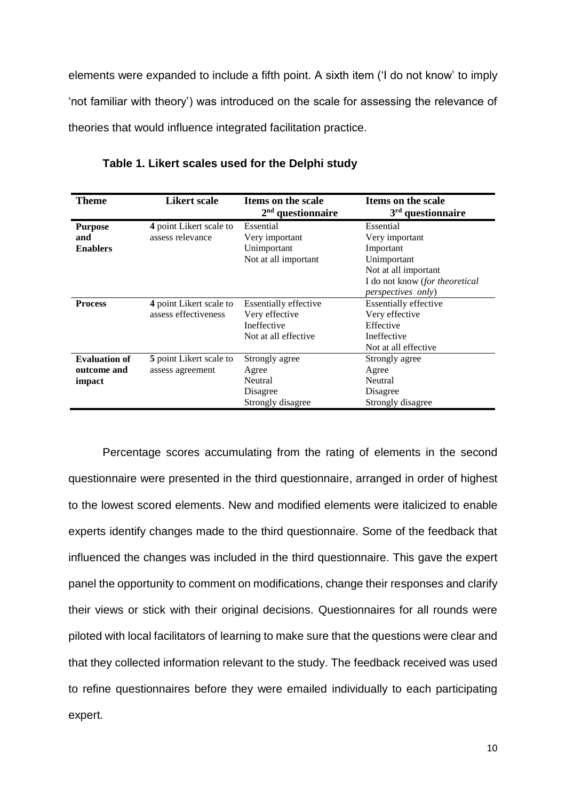elements were expanded to include a fifth point. A sixth item ('I do not know' to imply 'not familiar with theory') was introduced on the scale for assessing the relevance of theories that would influence integrated facilitation practice.

| <b>Theme</b>                                  | Likert scale                                       | Items on the scale<br>$2nd$ questionnaire                                             | Items on the scale<br>$3rd$ questionnaire                                                                                                      |
|-----------------------------------------------|----------------------------------------------------|---------------------------------------------------------------------------------------|------------------------------------------------------------------------------------------------------------------------------------------------|
| <b>Purpose</b><br>and<br><b>Enablers</b>      | 4 point Likert scale to<br>assess relevance        | Essential<br>Very important<br>Unimportant<br>Not at all important                    | Essential<br>Very important<br>Important<br>Unimportant<br>Not at all important<br>I do not know (for theoretical<br><i>perspectives only)</i> |
| <b>Process</b>                                | 4 point Likert scale to<br>assess effectiveness    | <b>Essentially effective</b><br>Very effective<br>Ineffective<br>Not at all effective | <b>Essentially effective</b><br>Very effective<br>Effective<br>Ineffective<br>Not at all effective                                             |
| <b>Evaluation of</b><br>outcome and<br>impact | <b>5</b> point Likert scale to<br>assess agreement | Strongly agree<br>Agree<br><b>Neutral</b><br>Disagree<br>Strongly disagree            | Strongly agree<br>Agree<br>Neutral<br>Disagree<br>Strongly disagree                                                                            |

**Table 1. Likert scales used for the Delphi study**

Percentage scores accumulating from the rating of elements in the second questionnaire were presented in the third questionnaire, arranged in order of highest to the lowest scored elements. New and modified elements were italicized to enable experts identify changes made to the third questionnaire. Some of the feedback that influenced the changes was included in the third questionnaire. This gave the expert panel the opportunity to comment on modifications, change their responses and clarify their views or stick with their original decisions. Questionnaires for all rounds were piloted with local facilitators of learning to make sure that the questions were clear and that they collected information relevant to the study. The feedback received was used to refine questionnaires before they were emailed individually to each participating expert.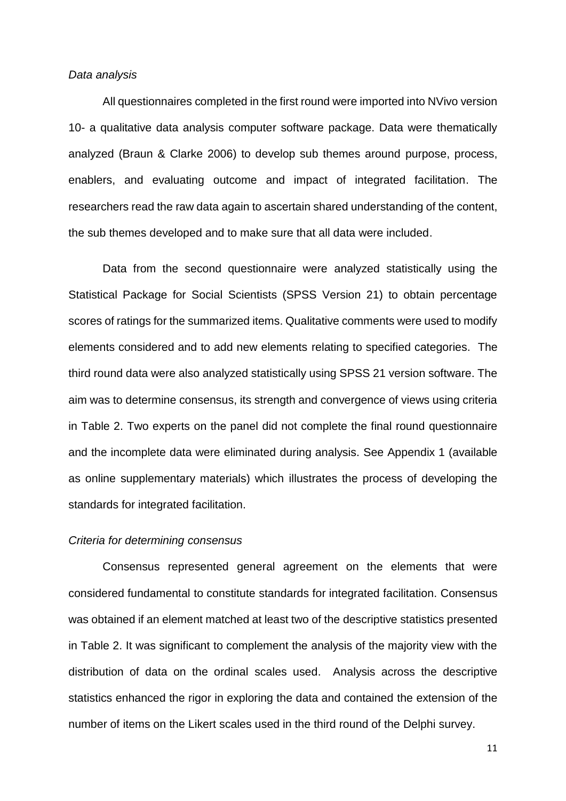#### *Data analysis*

All questionnaires completed in the first round were imported into NVivo version 10- a qualitative data analysis computer software package. Data were thematically analyzed (Braun & Clarke 2006) to develop sub themes around purpose, process, enablers, and evaluating outcome and impact of integrated facilitation. The researchers read the raw data again to ascertain shared understanding of the content, the sub themes developed and to make sure that all data were included.

Data from the second questionnaire were analyzed statistically using the Statistical Package for Social Scientists (SPSS Version 21) to obtain percentage scores of ratings for the summarized items. Qualitative comments were used to modify elements considered and to add new elements relating to specified categories. The third round data were also analyzed statistically using SPSS 21 version software. The aim was to determine consensus, its strength and convergence of views using criteria in Table 2. Two experts on the panel did not complete the final round questionnaire and the incomplete data were eliminated during analysis. See Appendix 1 (available as online supplementary materials) which illustrates the process of developing the standards for integrated facilitation.

#### *Criteria for determining consensus*

Consensus represented general agreement on the elements that were considered fundamental to constitute standards for integrated facilitation. Consensus was obtained if an element matched at least two of the descriptive statistics presented in Table 2. It was significant to complement the analysis of the majority view with the distribution of data on the ordinal scales used. Analysis across the descriptive statistics enhanced the rigor in exploring the data and contained the extension of the number of items on the Likert scales used in the third round of the Delphi survey.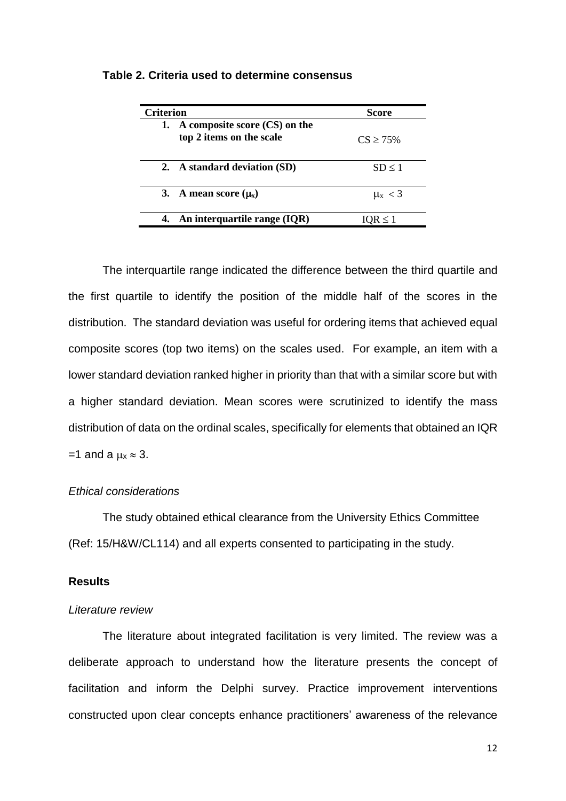| <b>Criterion</b> |                                                                | <b>Score</b>      |
|------------------|----------------------------------------------------------------|-------------------|
|                  | 1. A composite score $(CS)$ on the<br>top 2 items on the scale | $CS \geq 75\%$    |
|                  | 2. A standard deviation (SD)                                   | SD < 1            |
|                  | 3. A mean score $(\mu_x)$                                      | $\mu_{\rm X}$ < 3 |
|                  | An interquartile range (IQR)                                   | $IOR \leq 1$      |

#### **Table 2. Criteria used to determine consensus**

The interquartile range indicated the difference between the third quartile and the first quartile to identify the position of the middle half of the scores in the distribution. The standard deviation was useful for ordering items that achieved equal composite scores (top two items) on the scales used. For example, an item with a lower standard deviation ranked higher in priority than that with a similar score but with a higher standard deviation. Mean scores were scrutinized to identify the mass distribution of data on the ordinal scales, specifically for elements that obtained an IQR  $=1$  and a  $\mu$ <sub>x</sub>  $\approx$  3.

### *Ethical considerations*

The study obtained ethical clearance from the University Ethics Committee (Ref: 15/H&W/CL114) and all experts consented to participating in the study.

### **Results**

#### *Literature review*

The literature about integrated facilitation is very limited. The review was a deliberate approach to understand how the literature presents the concept of facilitation and inform the Delphi survey. Practice improvement interventions constructed upon clear concepts enhance practitioners' awareness of the relevance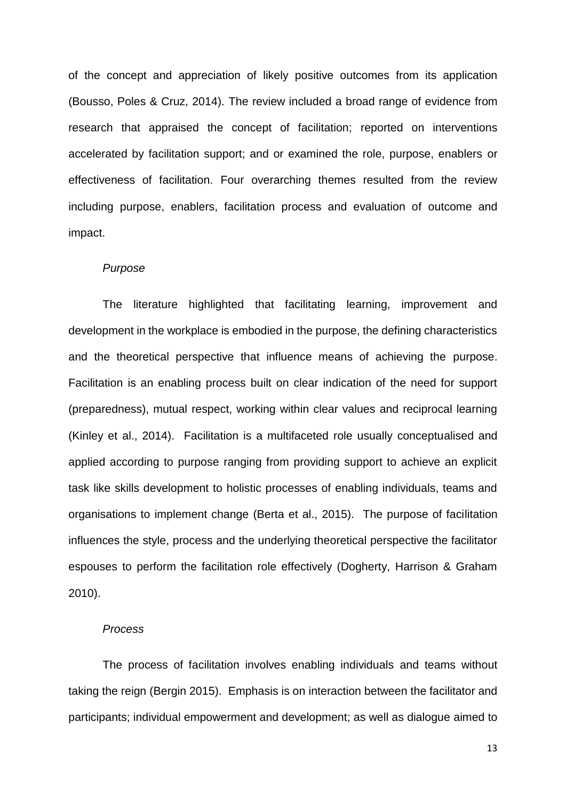of the concept and appreciation of likely positive outcomes from its application (Bousso, Poles & Cruz, 2014). The review included a broad range of evidence from research that appraised the concept of facilitation; reported on interventions accelerated by facilitation support; and or examined the role, purpose, enablers or effectiveness of facilitation. Four overarching themes resulted from the review including purpose, enablers, facilitation process and evaluation of outcome and impact.

#### *Purpose*

The literature highlighted that facilitating learning, improvement and development in the workplace is embodied in the purpose, the defining characteristics and the theoretical perspective that influence means of achieving the purpose. Facilitation is an enabling process built on clear indication of the need for support (preparedness), mutual respect, working within clear values and reciprocal learning (Kinley et al., 2014). Facilitation is a multifaceted role usually conceptualised and applied according to purpose ranging from providing support to achieve an explicit task like skills development to holistic processes of enabling individuals, teams and organisations to implement change (Berta et al., 2015). The purpose of facilitation influences the style, process and the underlying theoretical perspective the facilitator espouses to perform the facilitation role effectively (Dogherty, Harrison & Graham 2010).

#### *Process*

The process of facilitation involves enabling individuals and teams without taking the reign (Bergin 2015). Emphasis is on interaction between the facilitator and participants; individual empowerment and development; as well as dialogue aimed to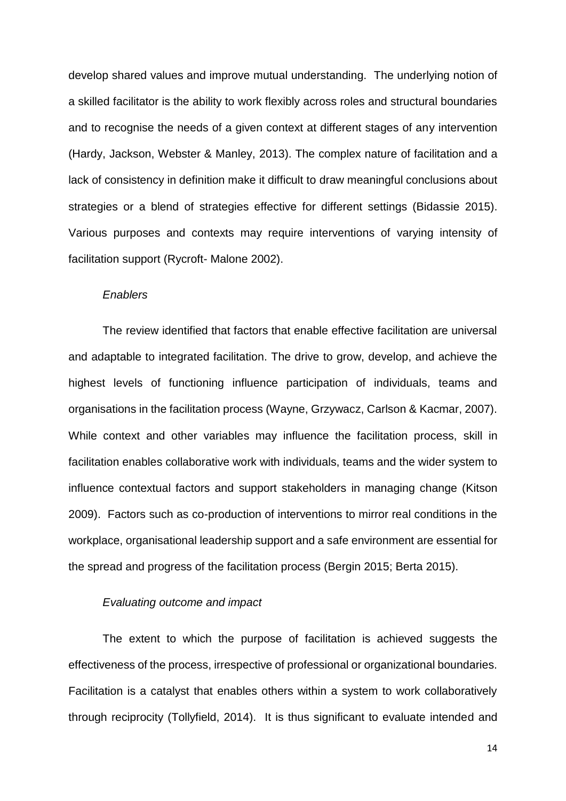develop shared values and improve mutual understanding. The underlying notion of a skilled facilitator is the ability to work flexibly across roles and structural boundaries and to recognise the needs of a given context at different stages of any intervention (Hardy, Jackson, Webster & Manley, 2013). The complex nature of facilitation and a lack of consistency in definition make it difficult to draw meaningful conclusions about strategies or a blend of strategies effective for different settings (Bidassie 2015). Various purposes and contexts may require interventions of varying intensity of facilitation support (Rycroft- Malone 2002).

#### *Enablers*

The review identified that factors that enable effective facilitation are universal and adaptable to integrated facilitation. The drive to grow, develop, and achieve the highest levels of functioning influence participation of individuals, teams and organisations in the facilitation process (Wayne, Grzywacz, Carlson & Kacmar, 2007). While context and other variables may influence the facilitation process, skill in facilitation enables collaborative work with individuals, teams and the wider system to influence contextual factors and support stakeholders in managing change (Kitson 2009). Factors such as co-production of interventions to mirror real conditions in the workplace, organisational leadership support and a safe environment are essential for the spread and progress of the facilitation process (Bergin 2015; Berta 2015).

### *Evaluating outcome and impact*

The extent to which the purpose of facilitation is achieved suggests the effectiveness of the process, irrespective of professional or organizational boundaries. Facilitation is a catalyst that enables others within a system to work collaboratively through reciprocity (Tollyfield, 2014). It is thus significant to evaluate intended and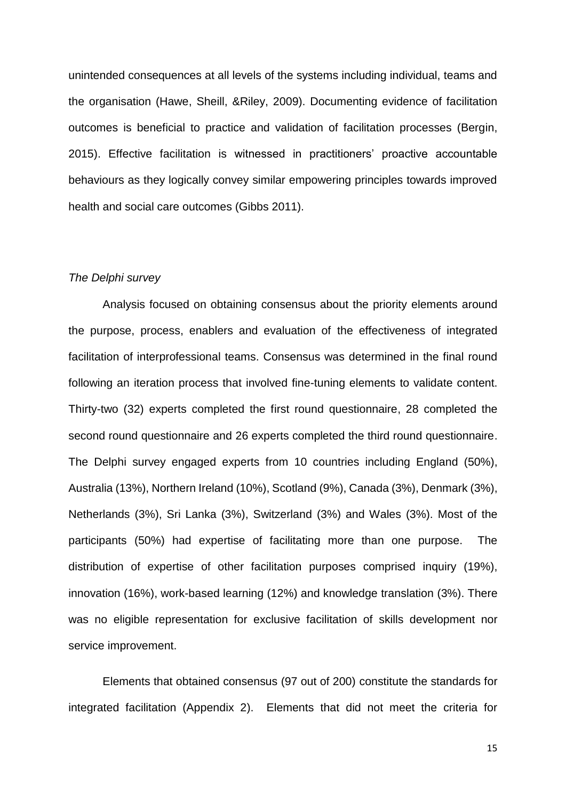unintended consequences at all levels of the systems including individual, teams and the organisation (Hawe, Sheill, &Riley, 2009). Documenting evidence of facilitation outcomes is beneficial to practice and validation of facilitation processes (Bergin, 2015). Effective facilitation is witnessed in practitioners' proactive accountable behaviours as they logically convey similar empowering principles towards improved health and social care outcomes (Gibbs 2011).

#### *The Delphi survey*

Analysis focused on obtaining consensus about the priority elements around the purpose, process, enablers and evaluation of the effectiveness of integrated facilitation of interprofessional teams. Consensus was determined in the final round following an iteration process that involved fine-tuning elements to validate content. Thirty-two (32) experts completed the first round questionnaire, 28 completed the second round questionnaire and 26 experts completed the third round questionnaire. The Delphi survey engaged experts from 10 countries including England (50%), Australia (13%), Northern Ireland (10%), Scotland (9%), Canada (3%), Denmark (3%), Netherlands (3%), Sri Lanka (3%), Switzerland (3%) and Wales (3%). Most of the participants (50%) had expertise of facilitating more than one purpose. The distribution of expertise of other facilitation purposes comprised inquiry (19%), innovation (16%), work-based learning (12%) and knowledge translation (3%). There was no eligible representation for exclusive facilitation of skills development nor service improvement.

Elements that obtained consensus (97 out of 200) constitute the standards for integrated facilitation (Appendix 2). Elements that did not meet the criteria for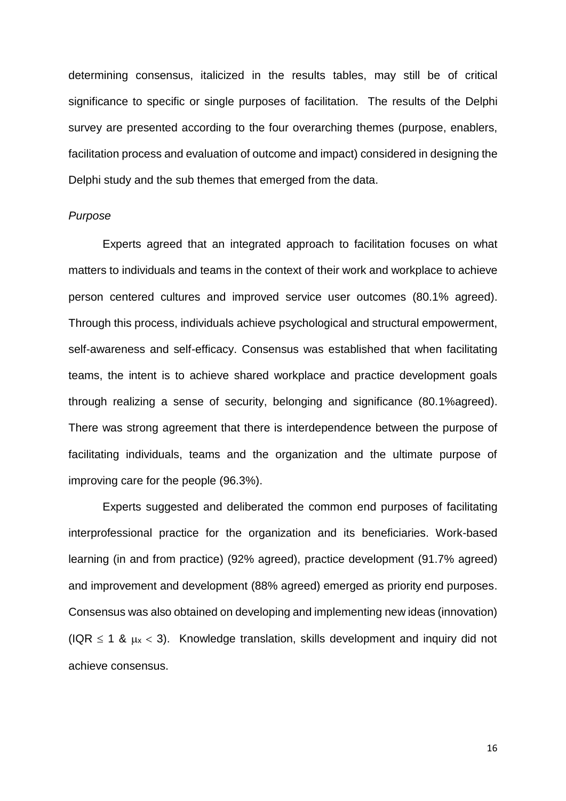determining consensus, italicized in the results tables, may still be of critical significance to specific or single purposes of facilitation. The results of the Delphi survey are presented according to the four overarching themes (purpose, enablers, facilitation process and evaluation of outcome and impact) considered in designing the Delphi study and the sub themes that emerged from the data.

#### *Purpose*

Experts agreed that an integrated approach to facilitation focuses on what matters to individuals and teams in the context of their work and workplace to achieve person centered cultures and improved service user outcomes (80.1% agreed). Through this process, individuals achieve psychological and structural empowerment, self-awareness and self-efficacy. Consensus was established that when facilitating teams, the intent is to achieve shared workplace and practice development goals through realizing a sense of security, belonging and significance (80.1%agreed). There was strong agreement that there is interdependence between the purpose of facilitating individuals, teams and the organization and the ultimate purpose of improving care for the people (96.3%).

Experts suggested and deliberated the common end purposes of facilitating interprofessional practice for the organization and its beneficiaries. Work-based learning (in and from practice) (92% agreed), practice development (91.7% agreed) and improvement and development (88% agreed) emerged as priority end purposes. Consensus was also obtained on developing and implementing new ideas (innovation) (IQR  $\leq$  1 &  $\mu$ x < 3). Knowledge translation, skills development and inquiry did not achieve consensus.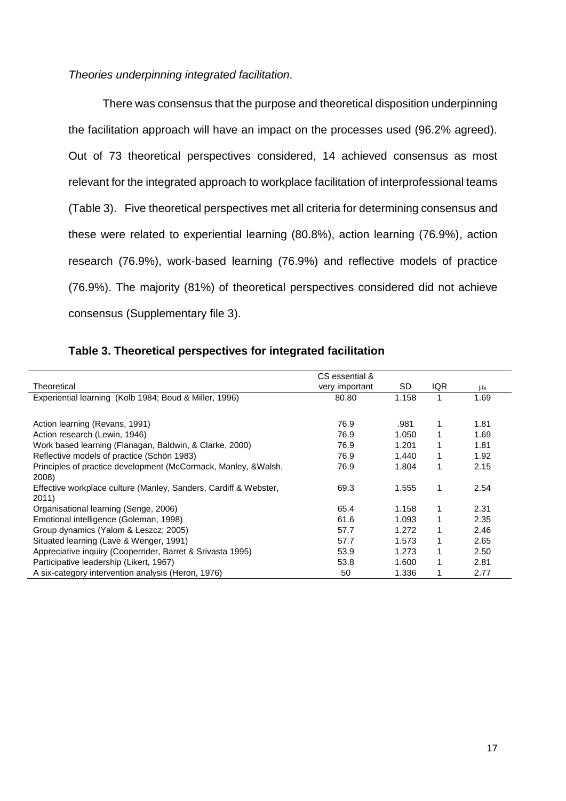### *Theories underpinning integrated facilitation.*

There was consensus that the purpose and theoretical disposition underpinning the facilitation approach will have an impact on the processes used (96.2% agreed). Out of 73 theoretical perspectives considered, 14 achieved consensus as most relevant for the integrated approach to workplace facilitation of interprofessional teams (Table 3). Five theoretical perspectives met all criteria for determining consensus and these were related to experiential learning (80.8%), action learning (76.9%), action research (76.9%), work-based learning (76.9%) and reflective models of practice (76.9%). The majority (81%) of theoretical perspectives considered did not achieve consensus (Supplementary file 3).

|                                                                  | CS essential & |       |            |      |
|------------------------------------------------------------------|----------------|-------|------------|------|
| Theoretical                                                      | very important | SD    | <b>IQR</b> | μx   |
| Experiential learning (Kolb 1984; Boud & Miller, 1996)           | 80.80          | 1.158 |            | 1.69 |
|                                                                  |                |       |            |      |
| Action learning (Revans, 1991)                                   | 76.9           | .981  |            | 1.81 |
| Action research (Lewin, 1946)                                    | 76.9           | 1.050 |            | 1.69 |
| Work based learning (Flanagan, Baldwin, & Clarke, 2000)          | 76.9           | 1.201 | 1          | 1.81 |
| Reflective models of practice (Schön 1983)                       | 76.9           | 1.440 | 1          | 1.92 |
| Principles of practice development (McCormack, Manley, & Walsh,  | 76.9           | 1.804 | 1          | 2.15 |
| 2008)                                                            |                |       |            |      |
| Effective workplace culture (Manley, Sanders, Cardiff & Webster, | 69.3           | 1.555 | 1          | 2.54 |
| 2011)                                                            |                |       |            |      |
| Organisational learning (Senge, 2006)                            | 65.4           | 1.158 |            | 2.31 |
| Emotional intelligence (Goleman, 1998)                           | 61.6           | 1.093 |            | 2.35 |
| Group dynamics (Yalom & Leszcz; 2005)                            | 57.7           | 1.272 |            | 2.46 |
| Situated learning (Lave & Wenger, 1991)                          | 57.7           | 1.573 | 1          | 2.65 |
| Appreciative inquiry (Cooperrider, Barret & Srivasta 1995)       | 53.9           | 1.273 | 1          | 2.50 |
| Participative leadership (Likert, 1967)                          | 53.8           | 1.600 | 1          | 2.81 |
| A six-category intervention analysis (Heron, 1976)               | 50             | 1.336 |            | 2.77 |

### **Table 3. Theoretical perspectives for integrated facilitation**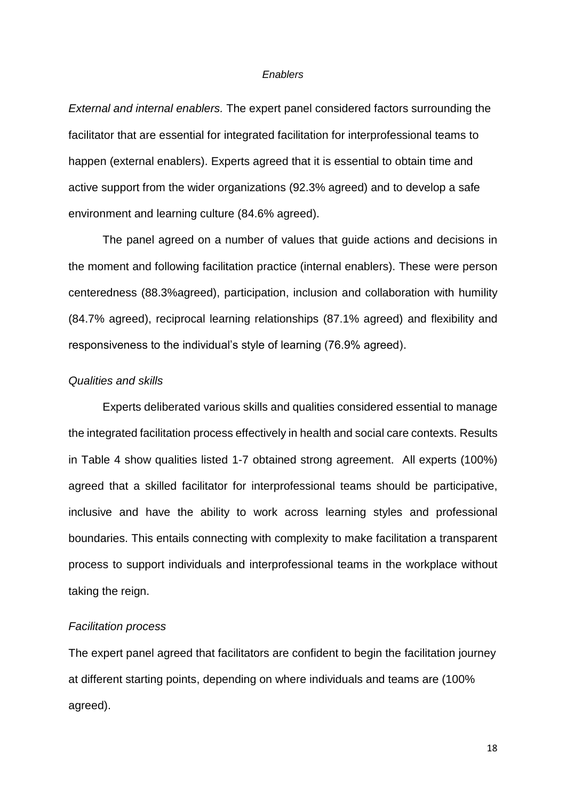#### *Enablers*

*External and internal enablers.* The expert panel considered factors surrounding the facilitator that are essential for integrated facilitation for interprofessional teams to happen (external enablers). Experts agreed that it is essential to obtain time and active support from the wider organizations (92.3% agreed) and to develop a safe environment and learning culture (84.6% agreed).

The panel agreed on a number of values that guide actions and decisions in the moment and following facilitation practice (internal enablers). These were person centeredness (88.3%agreed), participation, inclusion and collaboration with humility (84.7% agreed), reciprocal learning relationships (87.1% agreed) and flexibility and responsiveness to the individual's style of learning (76.9% agreed).

### *Qualities and skills*

Experts deliberated various skills and qualities considered essential to manage the integrated facilitation process effectively in health and social care contexts. Results in Table 4 show qualities listed 1-7 obtained strong agreement. All experts (100%) agreed that a skilled facilitator for interprofessional teams should be participative, inclusive and have the ability to work across learning styles and professional boundaries. This entails connecting with complexity to make facilitation a transparent process to support individuals and interprofessional teams in the workplace without taking the reign.

#### *Facilitation process*

The expert panel agreed that facilitators are confident to begin the facilitation journey at different starting points, depending on where individuals and teams are (100% agreed).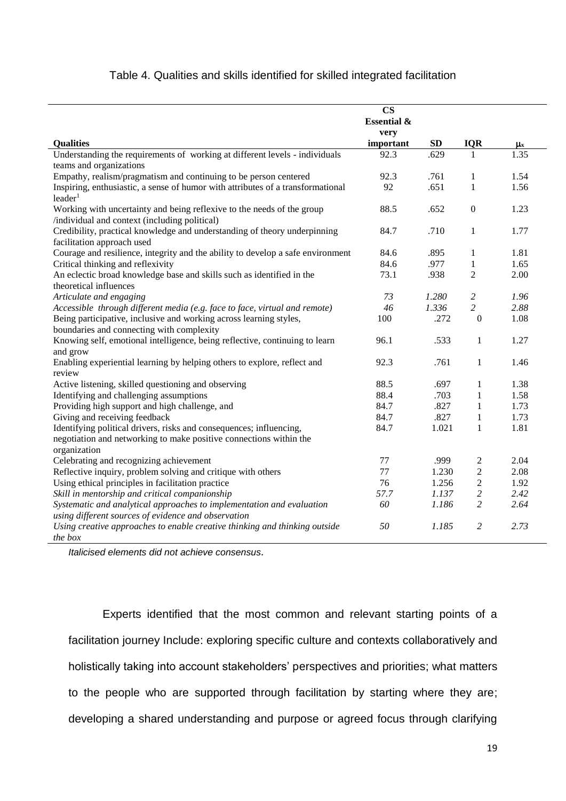### Table 4. Qualities and skills identified for skilled integrated facilitation

|                                                                                 | $\overline{\text{CS}}$ |           |                  |                    |
|---------------------------------------------------------------------------------|------------------------|-----------|------------------|--------------------|
|                                                                                 | <b>Essential &amp;</b> |           |                  |                    |
|                                                                                 | very                   |           |                  |                    |
| <b>Qualities</b>                                                                | important              | <b>SD</b> | <b>IQR</b>       | $\mu$ <sub>x</sub> |
| Understanding the requirements of working at different levels - individuals     | 92.3                   | .629      | -1               | 1.35               |
| teams and organizations                                                         |                        |           |                  |                    |
| Empathy, realism/pragmatism and continuing to be person centered                | 92.3                   | .761      | 1                | 1.54               |
| Inspiring, enthusiastic, a sense of humor with attributes of a transformational | 92                     | .651      | $\mathbf{1}$     | 1.56               |
| leader <sup>1</sup>                                                             |                        |           |                  |                    |
| Working with uncertainty and being reflexive to the needs of the group          | 88.5                   | .652      | $\mathbf{0}$     | 1.23               |
| /individual and context (including political)                                   |                        |           |                  |                    |
| Credibility, practical knowledge and understanding of theory underpinning       | 84.7                   | .710      | $\mathbf{1}$     | 1.77               |
| facilitation approach used                                                      |                        |           |                  |                    |
| Courage and resilience, integrity and the ability to develop a safe environment | 84.6                   | .895      | $\mathbf{1}$     | 1.81               |
| Critical thinking and reflexivity                                               | 84.6                   | .977      | $\mathbf{1}$     | 1.65               |
| An eclectic broad knowledge base and skills such as identified in the           | 73.1                   | .938      | $\overline{2}$   | 2.00               |
| theoretical influences                                                          |                        |           |                  |                    |
| Articulate and engaging                                                         | 73                     | 1.280     | $\overline{c}$   | 1.96               |
| Accessible through different media (e.g. face to face, virtual and remote)      | 46                     | 1.336     | $\overline{c}$   | 2.88               |
| Being participative, inclusive and working across learning styles,              | 100                    | .272      | $\boldsymbol{0}$ | 1.08               |
| boundaries and connecting with complexity                                       |                        |           |                  |                    |
| Knowing self, emotional intelligence, being reflective, continuing to learn     | 96.1                   | .533      | $\mathbf{1}$     | 1.27               |
| and grow                                                                        |                        |           |                  |                    |
| Enabling experiential learning by helping others to explore, reflect and        | 92.3                   | .761      | $\mathbf{1}$     | 1.46               |
| review                                                                          |                        |           |                  |                    |
| Active listening, skilled questioning and observing                             | 88.5                   | .697      | $\mathbf{1}$     | 1.38               |
| Identifying and challenging assumptions                                         | 88.4                   | .703      | $\mathbf{1}$     | 1.58               |
| Providing high support and high challenge, and                                  | 84.7                   | .827      | $\,1\,$          | 1.73               |
| Giving and receiving feedback                                                   | 84.7                   | .827      | $\mathbf{1}$     | 1.73               |
| Identifying political drivers, risks and consequences; influencing,             | 84.7                   | 1.021     | $\mathbf{1}$     | 1.81               |
| negotiation and networking to make positive connections within the              |                        |           |                  |                    |
| organization                                                                    |                        |           |                  |                    |
| Celebrating and recognizing achievement                                         | 77                     | .999      | $\overline{c}$   | 2.04               |
| Reflective inquiry, problem solving and critique with others                    | 77                     | 1.230     | $\overline{c}$   | 2.08               |
| Using ethical principles in facilitation practice                               | 76                     | 1.256     | $\overline{c}$   | 1.92               |
| Skill in mentorship and critical companionship                                  | 57.7                   | 1.137     | $\overline{c}$   | 2.42               |
| Systematic and analytical approaches to implementation and evaluation           | 60                     | 1.186     | $\overline{c}$   | 2.64               |
| using different sources of evidence and observation                             |                        |           |                  |                    |
| Using creative approaches to enable creative thinking and thinking outside      | 50                     | 1.185     | $\overline{2}$   | 2.73               |
| the box                                                                         |                        |           |                  |                    |

*Italicised elements did not achieve consensus.*

Experts identified that the most common and relevant starting points of a facilitation journey Include: exploring specific culture and contexts collaboratively and holistically taking into account stakeholders' perspectives and priorities; what matters to the people who are supported through facilitation by starting where they are; developing a shared understanding and purpose or agreed focus through clarifying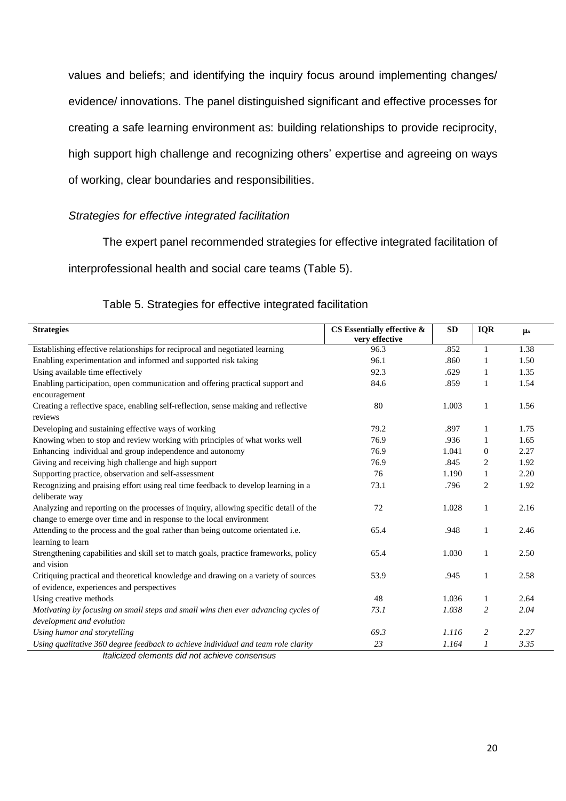values and beliefs; and identifying the inquiry focus around implementing changes/ evidence/ innovations. The panel distinguished significant and effective processes for creating a safe learning environment as: building relationships to provide reciprocity, high support high challenge and recognizing others' expertise and agreeing on ways of working, clear boundaries and responsibilities.

### *Strategies for effective integrated facilitation*

The expert panel recommended strategies for effective integrated facilitation of

interprofessional health and social care teams (Table 5).

| <b>Strategies</b>                                                                                    | CS Essentially effective & | <b>SD</b> | <b>IQR</b>     | $\mu$ |
|------------------------------------------------------------------------------------------------------|----------------------------|-----------|----------------|-------|
|                                                                                                      | very effective             |           |                |       |
| Establishing effective relationships for reciprocal and negotiated learning                          | 96.3                       | .852      | $\mathbf{1}$   | 1.38  |
| Enabling experimentation and informed and supported risk taking                                      | 96.1                       | .860      |                | 1.50  |
| Using available time effectively                                                                     | 92.3                       | .629      | 1              | 1.35  |
| Enabling participation, open communication and offering practical support and<br>encouragement       | 84.6                       | .859      | 1              | 1.54  |
| Creating a reflective space, enabling self-reflection, sense making and reflective<br>reviews        | 80                         | 1.003     | 1              | 1.56  |
| Developing and sustaining effective ways of working                                                  | 79.2                       | .897      | 1              | 1.75  |
| Knowing when to stop and review working with principles of what works well                           | 76.9                       | .936      | 1              | 1.65  |
| Enhancing individual and group independence and autonomy                                             | 76.9                       | 1.041     | $\mathbf{0}$   | 2.27  |
| Giving and receiving high challenge and high support                                                 | 76.9                       | .845      | 2              | 1.92  |
| Supporting practice, observation and self-assessment                                                 | 76                         | 1.190     | $\mathbf{1}$   | 2.20  |
| Recognizing and praising effort using real time feedback to develop learning in a                    | 73.1                       | .796      | 2              | 1.92  |
| deliberate way                                                                                       |                            |           |                |       |
| Analyzing and reporting on the processes of inquiry, allowing specific detail of the                 | 72                         | 1.028     | 1              | 2.16  |
| change to emerge over time and in response to the local environment                                  |                            |           |                |       |
| Attending to the process and the goal rather than being outcome orientated i.e.<br>learning to learn | 65.4                       | .948      | 1              | 2.46  |
| Strengthening capabilities and skill set to match goals, practice frameworks, policy                 | 65.4                       | 1.030     | 1              | 2.50  |
| and vision                                                                                           |                            |           |                |       |
| Critiquing practical and theoretical knowledge and drawing on a variety of sources                   | 53.9                       | .945      | 1              | 2.58  |
| of evidence, experiences and perspectives                                                            |                            |           |                |       |
| Using creative methods                                                                               | 48                         | 1.036     | 1              | 2.64  |
| Motivating by focusing on small steps and small wins then ever advancing cycles of                   | 73.1                       | 1.038     | 2              | 2.04  |
| development and evolution                                                                            |                            |           |                |       |
| Using humor and storytelling                                                                         | 69.3                       | 1.116     | $\overline{c}$ | 2.27  |
| Using qualitative 360 degree feedback to achieve individual and team role clarity                    | 23                         | 1.164     | 1              | 3.35  |

### Table 5. Strategies for effective integrated facilitation

*Italicized elements did not achieve consensus*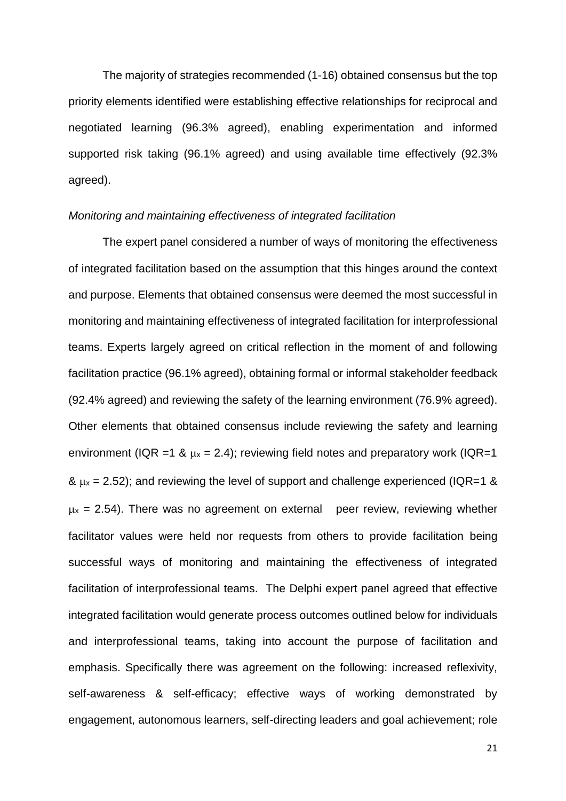The majority of strategies recommended (1-16) obtained consensus but the top priority elements identified were establishing effective relationships for reciprocal and negotiated learning (96.3% agreed), enabling experimentation and informed supported risk taking (96.1% agreed) and using available time effectively (92.3% agreed).

#### *Monitoring and maintaining effectiveness of integrated facilitation*

The expert panel considered a number of ways of monitoring the effectiveness of integrated facilitation based on the assumption that this hinges around the context and purpose. Elements that obtained consensus were deemed the most successful in monitoring and maintaining effectiveness of integrated facilitation for interprofessional teams. Experts largely agreed on critical reflection in the moment of and following facilitation practice (96.1% agreed), obtaining formal or informal stakeholder feedback (92.4% agreed) and reviewing the safety of the learning environment (76.9% agreed). Other elements that obtained consensus include reviewing the safety and learning environment (IQR =1 &  $\mu$ x = 2.4); reviewing field notes and preparatory work (IQR=1  $\&$   $\mu$ x = 2.52); and reviewing the level of support and challenge experienced (IQR=1  $\&$  $\mu$ x = 2.54). There was no agreement on external peer review, reviewing whether facilitator values were held nor requests from others to provide facilitation being successful ways of monitoring and maintaining the effectiveness of integrated facilitation of interprofessional teams. The Delphi expert panel agreed that effective integrated facilitation would generate process outcomes outlined below for individuals and interprofessional teams, taking into account the purpose of facilitation and emphasis. Specifically there was agreement on the following: increased reflexivity, self-awareness & self-efficacy; effective ways of working demonstrated by engagement, autonomous learners, self-directing leaders and goal achievement; role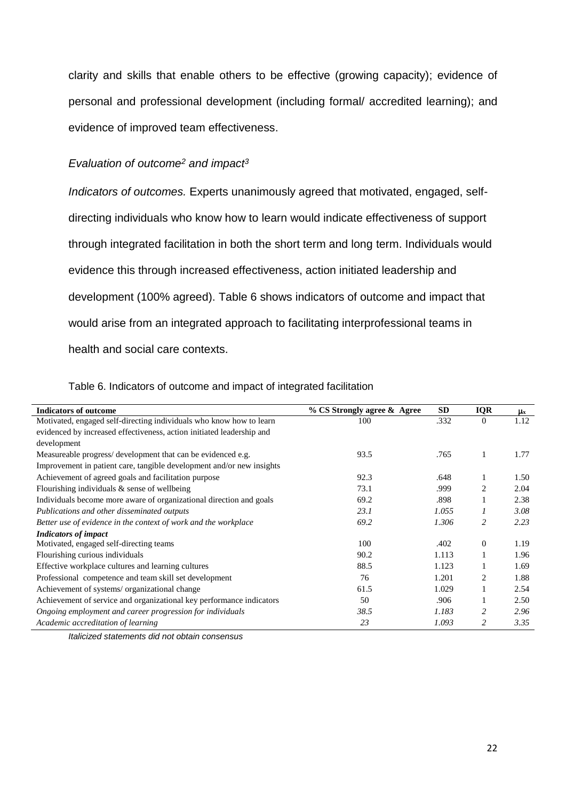clarity and skills that enable others to be effective (growing capacity); evidence of personal and professional development (including formal/ accredited learning); and evidence of improved team effectiveness.

### *Evaluation of outcome<sup>2</sup> and impact<sup>3</sup>*

*Indicators of outcomes.* Experts unanimously agreed that motivated, engaged, selfdirecting individuals who know how to learn would indicate effectiveness of support through integrated facilitation in both the short term and long term. Individuals would evidence this through increased effectiveness, action initiated leadership and development (100% agreed). Table 6 shows indicators of outcome and impact that would arise from an integrated approach to facilitating interprofessional teams in health and social care contexts.

| <b>Indicators of outcome</b>                                          | % CS Strongly agree & Agree | <b>SD</b> | <b>IQR</b>     | $\mu_{\rm x}$ |
|-----------------------------------------------------------------------|-----------------------------|-----------|----------------|---------------|
| Motivated, engaged self-directing individuals who know how to learn   | 100                         | .332      | $\overline{0}$ | 1.12          |
| evidenced by increased effectiveness, action initiated leadership and |                             |           |                |               |
| development                                                           |                             |           |                |               |
| Measureable progress/ development that can be evidenced e.g.          | 93.5                        | .765      |                | 1.77          |
| Improvement in patient care, tangible development and/or new insights |                             |           |                |               |
| Achievement of agreed goals and facilitation purpose                  | 92.3                        | .648      |                | 1.50          |
| Flourishing individuals $\&$ sense of wellbeing                       | 73.1                        | .999      | $\overline{c}$ | 2.04          |
| Individuals become more aware of organizational direction and goals   | 69.2                        | .898      |                | 2.38          |
| Publications and other disseminated outputs                           | 23.1                        | 1.055     |                | 3.08          |
| Better use of evidence in the context of work and the workplace       | 69.2                        | 1.306     | 2              | 2.23          |
| <b>Indicators of impact</b>                                           |                             |           |                |               |
| Motivated, engaged self-directing teams                               | 100                         | .402      | $\Omega$       | 1.19          |
| Flourishing curious individuals                                       | 90.2                        | 1.113     |                | 1.96          |
| Effective workplace cultures and learning cultures                    | 88.5                        | 1.123     |                | 1.69          |
| Professional competence and team skill set development                | 76                          | 1.201     | $\overline{c}$ | 1.88          |
| Achievement of systems/ organizational change                         | 61.5                        | 1.029     |                | 2.54          |
| Achievement of service and organizational key performance indicators  | 50                          | .906      |                | 2.50          |
| Ongoing employment and career progression for individuals             | 38.5                        | 1.183     | 2              | 2.96          |
| Academic accreditation of learning                                    | 23                          | 1.093     | 2              | 3.35          |

Table 6. Indicators of outcome and impact of integrated facilitation

*Italicized statements did not obtain consensus*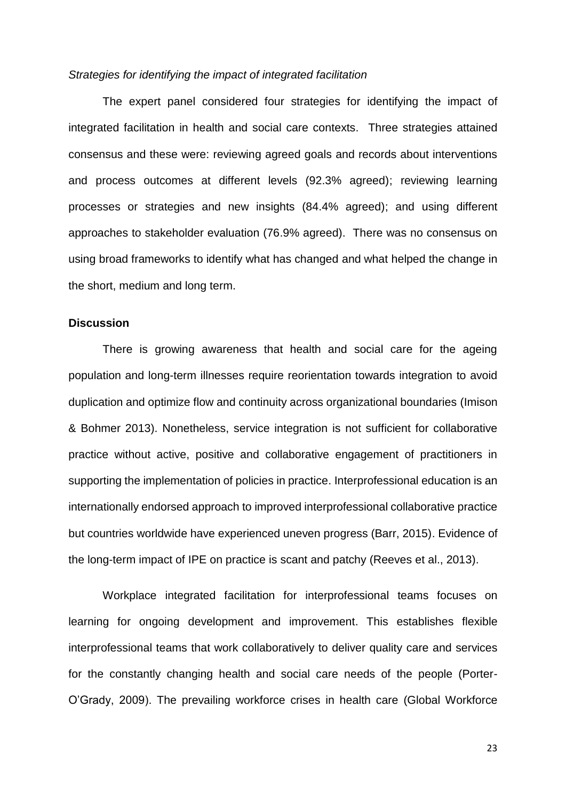#### *Strategies for identifying the impact of integrated facilitation*

The expert panel considered four strategies for identifying the impact of integrated facilitation in health and social care contexts. Three strategies attained consensus and these were: reviewing agreed goals and records about interventions and process outcomes at different levels (92.3% agreed); reviewing learning processes or strategies and new insights (84.4% agreed); and using different approaches to stakeholder evaluation (76.9% agreed). There was no consensus on using broad frameworks to identify what has changed and what helped the change in the short, medium and long term.

#### **Discussion**

There is growing awareness that health and social care for the ageing population and long-term illnesses require reorientation towards integration to avoid duplication and optimize flow and continuity across organizational boundaries (Imison & Bohmer 2013). Nonetheless, service integration is not sufficient for collaborative practice without active, positive and collaborative engagement of practitioners in supporting the implementation of policies in practice. Interprofessional education is an internationally endorsed approach to improved interprofessional collaborative practice but countries worldwide have experienced uneven progress (Barr, 2015). Evidence of the long-term impact of IPE on practice is scant and patchy (Reeves et al., 2013).

Workplace integrated facilitation for interprofessional teams focuses on learning for ongoing development and improvement. This establishes flexible interprofessional teams that work collaboratively to deliver quality care and services for the constantly changing health and social care needs of the people (Porter-O'Grady, 2009). The prevailing workforce crises in health care (Global Workforce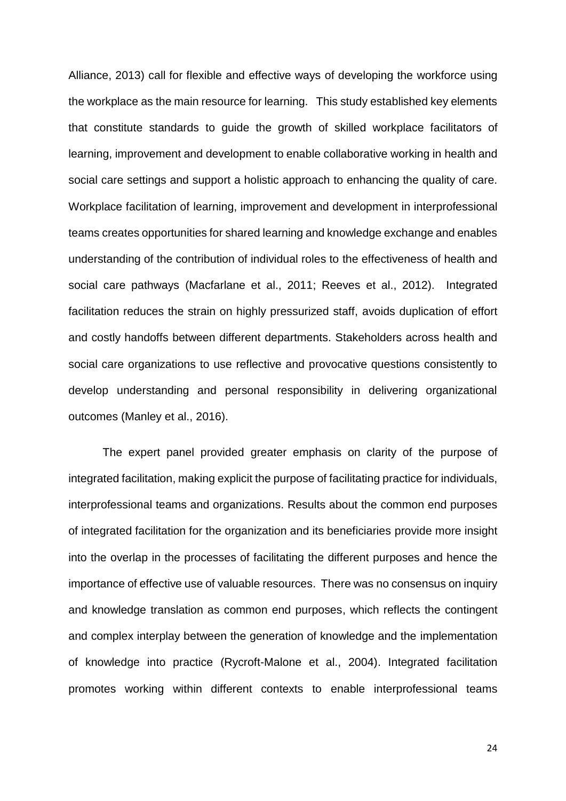Alliance, 2013) call for flexible and effective ways of developing the workforce using the workplace as the main resource for learning. This study established key elements that constitute standards to guide the growth of skilled workplace facilitators of learning, improvement and development to enable collaborative working in health and social care settings and support a holistic approach to enhancing the quality of care. Workplace facilitation of learning, improvement and development in interprofessional teams creates opportunities for shared learning and knowledge exchange and enables understanding of the contribution of individual roles to the effectiveness of health and social care pathways (Macfarlane et al., 2011; Reeves et al., 2012). Integrated facilitation reduces the strain on highly pressurized staff, avoids duplication of effort and costly handoffs between different departments. Stakeholders across health and social care organizations to use reflective and provocative questions consistently to develop understanding and personal responsibility in delivering organizational outcomes (Manley et al., 2016).

The expert panel provided greater emphasis on clarity of the purpose of integrated facilitation, making explicit the purpose of facilitating practice for individuals, interprofessional teams and organizations. Results about the common end purposes of integrated facilitation for the organization and its beneficiaries provide more insight into the overlap in the processes of facilitating the different purposes and hence the importance of effective use of valuable resources. There was no consensus on inquiry and knowledge translation as common end purposes, which reflects the contingent and complex interplay between the generation of knowledge and the implementation of knowledge into practice (Rycroft-Malone et al., 2004). Integrated facilitation promotes working within different contexts to enable interprofessional teams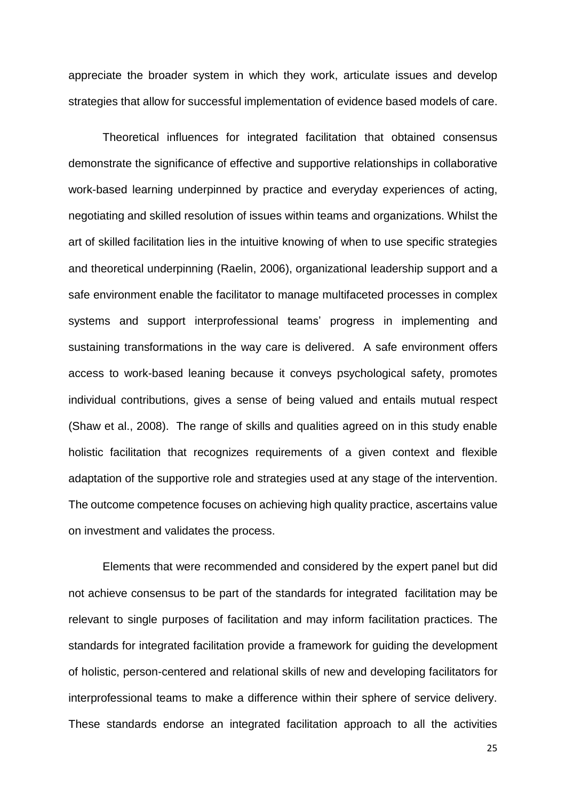appreciate the broader system in which they work, articulate issues and develop strategies that allow for successful implementation of evidence based models of care.

Theoretical influences for integrated facilitation that obtained consensus demonstrate the significance of effective and supportive relationships in collaborative work-based learning underpinned by practice and everyday experiences of acting, negotiating and skilled resolution of issues within teams and organizations. Whilst the art of skilled facilitation lies in the intuitive knowing of when to use specific strategies and theoretical underpinning (Raelin, 2006), organizational leadership support and a safe environment enable the facilitator to manage multifaceted processes in complex systems and support interprofessional teams' progress in implementing and sustaining transformations in the way care is delivered. A safe environment offers access to work-based leaning because it conveys psychological safety, promotes individual contributions, gives a sense of being valued and entails mutual respect (Shaw et al., 2008). The range of skills and qualities agreed on in this study enable holistic facilitation that recognizes requirements of a given context and flexible adaptation of the supportive role and strategies used at any stage of the intervention. The outcome competence focuses on achieving high quality practice, ascertains value on investment and validates the process.

Elements that were recommended and considered by the expert panel but did not achieve consensus to be part of the standards for integrated facilitation may be relevant to single purposes of facilitation and may inform facilitation practices. The standards for integrated facilitation provide a framework for guiding the development of holistic, person-centered and relational skills of new and developing facilitators for interprofessional teams to make a difference within their sphere of service delivery. These standards endorse an integrated facilitation approach to all the activities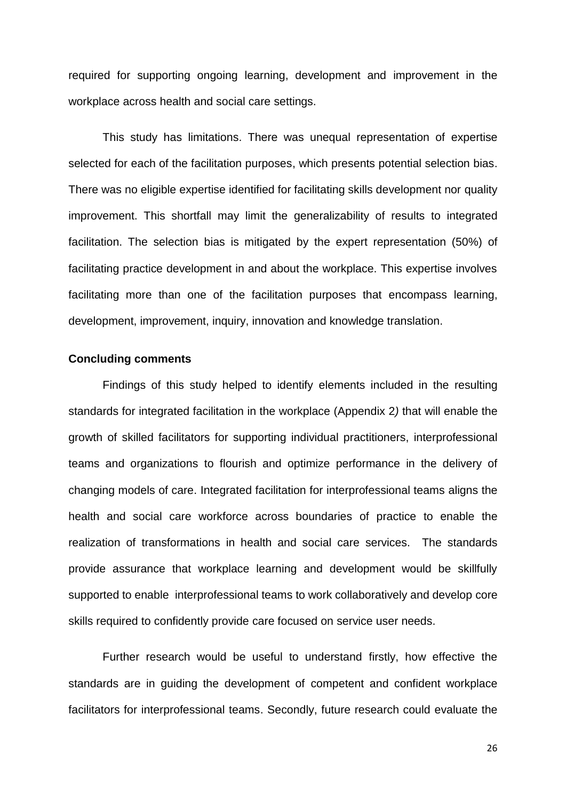required for supporting ongoing learning, development and improvement in the workplace across health and social care settings.

This study has limitations. There was unequal representation of expertise selected for each of the facilitation purposes, which presents potential selection bias. There was no eligible expertise identified for facilitating skills development nor quality improvement. This shortfall may limit the generalizability of results to integrated facilitation. The selection bias is mitigated by the expert representation (50%) of facilitating practice development in and about the workplace. This expertise involves facilitating more than one of the facilitation purposes that encompass learning, development, improvement, inquiry, innovation and knowledge translation.

#### **Concluding comments**

Findings of this study helped to identify elements included in the resulting standards for integrated facilitation in the workplace (Appendix 2*)* that will enable the growth of skilled facilitators for supporting individual practitioners, interprofessional teams and organizations to flourish and optimize performance in the delivery of changing models of care. Integrated facilitation for interprofessional teams aligns the health and social care workforce across boundaries of practice to enable the realization of transformations in health and social care services. The standards provide assurance that workplace learning and development would be skillfully supported to enable interprofessional teams to work collaboratively and develop core skills required to confidently provide care focused on service user needs.

Further research would be useful to understand firstly, how effective the standards are in guiding the development of competent and confident workplace facilitators for interprofessional teams. Secondly, future research could evaluate the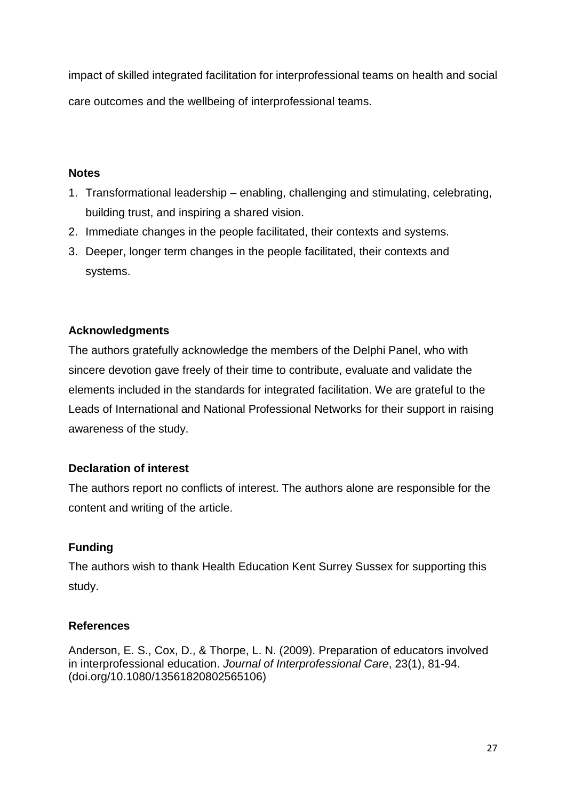impact of skilled integrated facilitation for interprofessional teams on health and social care outcomes and the wellbeing of interprofessional teams.

## **Notes**

- 1. Transformational leadership enabling, challenging and stimulating, celebrating, building trust, and inspiring a shared vision.
- 2. Immediate changes in the people facilitated, their contexts and systems.
- 3. Deeper, longer term changes in the people facilitated, their contexts and systems.

# **Acknowledgments**

The authors gratefully acknowledge the members of the Delphi Panel, who with sincere devotion gave freely of their time to contribute, evaluate and validate the elements included in the standards for integrated facilitation. We are grateful to the Leads of International and National Professional Networks for their support in raising awareness of the study.

# **Declaration of interest**

The authors report no conflicts of interest. The authors alone are responsible for the content and writing of the article.

# **Funding**

The authors wish to thank Health Education Kent Surrey Sussex for supporting this study.

# **References**

Anderson, E. S., Cox, D., & Thorpe, L. N. (2009). Preparation of educators involved in interprofessional education. *Journal of Interprofessional Care*, 23(1), 81-94. (doi.org/10.1080/13561820802565106)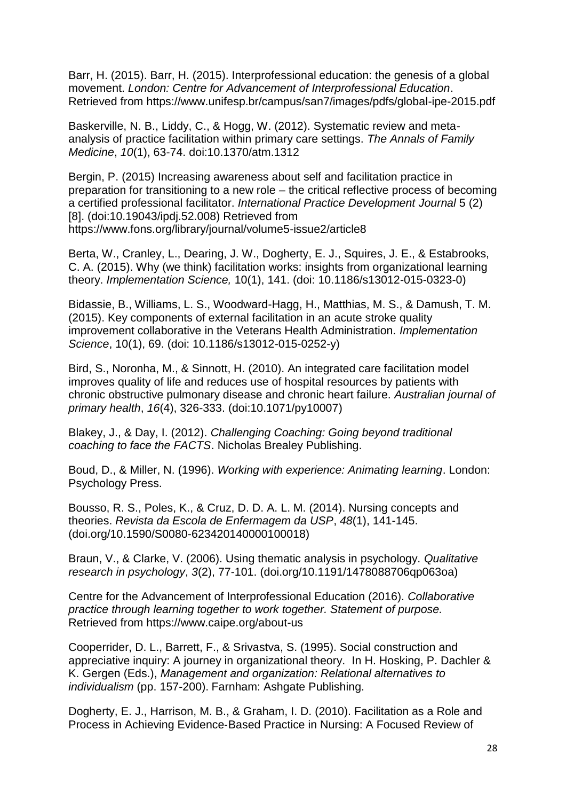Barr, H. (2015). Barr, H. (2015). Interprofessional education: the genesis of a global movement. *London: Centre for Advancement of Interprofessional Education*. Retrieved from<https://www.unifesp.br/campus/san7/images/pdfs/global-ipe-2015.pdf>

Baskerville, N. B., Liddy, C., & Hogg, W. (2012). Systematic review and metaanalysis of practice facilitation within primary care settings. *The Annals of Family Medicine*, *10*(1), 63-74. doi:10.1370/atm.1312

Bergin, P. (2015) Increasing awareness about self and facilitation practice in preparation for transitioning to a new role – the critical reflective process of becoming a certified professional facilitator. *International Practice Development Journal* 5 (2) [8]. (doi:10.19043/ipdj.52.008) Retrieved from https://www.fons.org/library/journal/volume5-issue2/article8

Berta, W., Cranley, L., Dearing, J. W., Dogherty, E. J., Squires, J. E., & Estabrooks, C. A. (2015). Why (we think) facilitation works: insights from organizational learning theory. *Implementation Science,* 10(1), 141. (doi: 10.1186/s13012-015-0323-0)

Bidassie, B., Williams, L. S., Woodward-Hagg, H., Matthias, M. S., & Damush, T. M. (2015). Key components of external facilitation in an acute stroke quality improvement collaborative in the Veterans Health Administration. *Implementation Science*, 10(1), 69. (doi: 10.1186/s13012-015-0252-y)

Bird, S., Noronha, M., & Sinnott, H. (2010). An integrated care facilitation model improves quality of life and reduces use of hospital resources by patients with chronic obstructive pulmonary disease and chronic heart failure. *Australian journal of primary health*, *16*(4), 326-333. (doi:10.1071/py10007)

Blakey, J., & Day, I. (2012). *Challenging Coaching: Going beyond traditional coaching to face the FACTS*. Nicholas Brealey Publishing.

Boud, D., & Miller, N. (1996). *Working with experience: Animating learning*. London: Psychology Press.

Bousso, R. S., Poles, K., & Cruz, D. D. A. L. M. (2014). Nursing concepts and theories. *Revista da Escola de Enfermagem da USP*, *48*(1), 141-145. (doi.org/10.1590/S0080-623420140000100018)

Braun, V., & Clarke, V. (2006). Using thematic analysis in psychology. *Qualitative research in psychology*, *3*(2), 77-101. (doi.org/10.1191/1478088706qp063oa)

Centre for the Advancement of Interprofessional Education (2016). *Collaborative practice through learning together to work together. Statement of purpose.*  Retrieved from https://www.caipe.org/about-us

Cooperrider, D. L., Barrett, F., & Srivastva, S. (1995). Social construction and appreciative inquiry: A journey in organizational theory. In H. Hosking, P. Dachler & K. Gergen (Eds.), *Management and organization: Relational alternatives to individualism* (pp. 157-200). Farnham: Ashgate Publishing.

Dogherty, E. J., Harrison, M. B., & Graham, I. D. (2010). Facilitation as a Role and Process in Achieving Evidence‐Based Practice in Nursing: A Focused Review of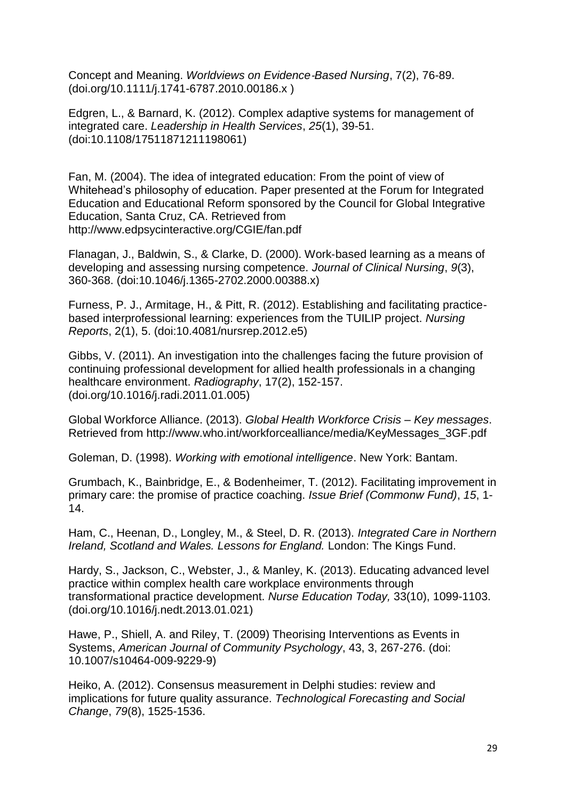Concept and Meaning. *Worldviews on Evidence*‐*Based Nursing*, 7(2), 76-89. [\(doi.org/10.1111/j.1741-6787.2010.00186.x](http://dx.doi.org/10.1111/j.1741-6787.2010.00186.x) )

Edgren, L., & Barnard, K. (2012). Complex adaptive systems for management of integrated care. *Leadership in Health Services*, *25*(1), 39-51. (doi:10.1108/17511871211198061)

Fan, M. (2004). The idea of integrated education: From the point of view of Whitehead's philosophy of education. Paper presented at the Forum for Integrated Education and Educational Reform sponsored by the Council for Global Integrative Education, Santa Cruz, CA. Retrieved from http://www.edpsycinteractive.org/CGIE/fan.pdf

Flanagan, J., Baldwin, S., & Clarke, D. (2000). Work‐based learning as a means of developing and assessing nursing competence. *Journal of Clinical Nursing*, *9*(3), 360-368. (doi:10.1046/j.1365-2702.2000.00388.x)

Furness, P. J., Armitage, H., & Pitt, R. (2012). Establishing and facilitating practicebased interprofessional learning: experiences from the TUILIP project. *Nursing Reports*, 2(1), 5. (doi:10.4081/nursrep.2012.e5)

Gibbs, V. (2011). An investigation into the challenges facing the future provision of continuing professional development for allied health professionals in a changing healthcare environment. *Radiography*, 17(2), 152-157. [\(doi.org/10.1016/j.radi.2011.01.005\)](https://doi.org/10.1016/j.radi.2011.01.005)

Global Workforce Alliance. (2013). *Global Health Workforce Crisis – Key messages*. Retrieved from [http://www.who.int/workforcealliance/media/KeyMessages\\_3GF.pdf](http://www.who.int/workforcealliance/media/KeyMessages_3GF.pdf)

Goleman, D. (1998). *Working with emotional intelligence*. New York: Bantam.

Grumbach, K., Bainbridge, E., & Bodenheimer, T. (2012). Facilitating improvement in primary care: the promise of practice coaching. *Issue Brief (Commonw Fund)*, *15*, 1- 14.

Ham, C., Heenan, D., Longley, M., & Steel, D. R. (2013). *Integrated Care in Northern Ireland, Scotland and Wales. Lessons for England.* London: The Kings Fund.

Hardy, S., Jackson, C., Webster, J., & Manley, K. (2013). Educating advanced level practice within complex health care workplace environments through transformational practice development. *Nurse Education Today,* 33(10), 1099-1103. [\(doi.org/10.1016/j.nedt.2013.01.021\)](https://doi.org/10.1016/j.nedt.2013.01.021)

Hawe, P., Shiell, A. and Riley, T. (2009) Theorising Interventions as Events in Systems, *American Journal of Community Psychology*, 43, 3, 267-276. (doi: 10.1007/s10464-009-9229-9)

Heiko, A. (2012). Consensus measurement in Delphi studies: review and implications for future quality assurance. *Technological Forecasting and Social Change*, *79*(8), 1525-1536.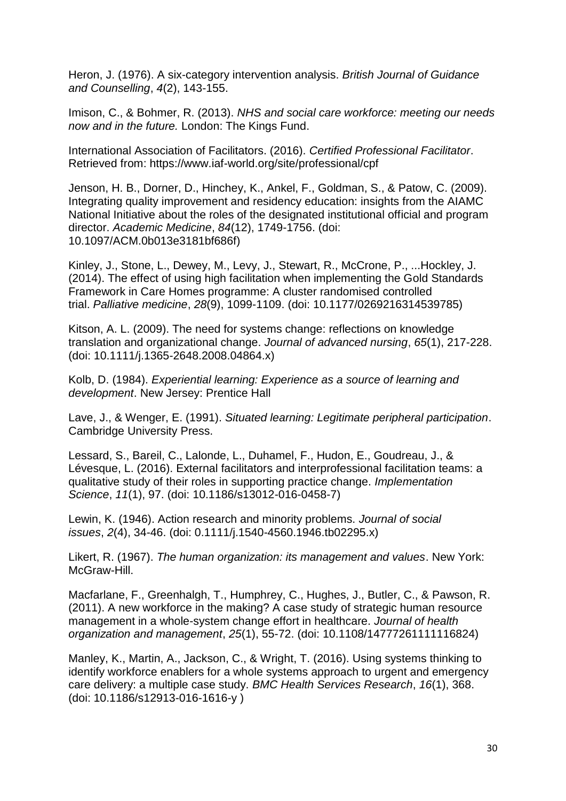Heron, J. (1976). A six-category intervention analysis. *British Journal of Guidance and Counselling*, *4*(2), 143-155.

Imison, C., & Bohmer, R. (2013). *NHS and social care workforce: meeting our needs now and in the future.* London: The Kings Fund.

International Association of Facilitators. (2016). *Certified Professional Facilitator*. Retrieved from: <https://www.iaf-world.org/site/professional/cpf>

Jenson, H. B., Dorner, D., Hinchey, K., Ankel, F., Goldman, S., & Patow, C. (2009). Integrating quality improvement and residency education: insights from the AIAMC National Initiative about the roles of the designated institutional official and program director. *Academic Medicine*, *84*(12), 1749-1756. (doi: 10.1097/ACM.0b013e3181bf686f)

Kinley, J., Stone, L., Dewey, M., Levy, J., Stewart, R., McCrone, P., ...Hockley, J. (2014). The effect of using high facilitation when implementing the Gold Standards Framework in Care Homes programme: A cluster randomised controlled trial. *Palliative medicine*, *28*(9), 1099-1109. (doi: 10.1177/0269216314539785)

Kitson, A. L. (2009). The need for systems change: reflections on knowledge translation and organizational change. *Journal of advanced nursing*, *65*(1), 217-228. (doi: 10.1111/j.1365-2648.2008.04864.x)

Kolb, D. (1984). *Experiential learning: Experience as a source of learning and development*. New Jersey: Prentice Hall

Lave, J., & Wenger, E. (1991). *Situated learning: Legitimate peripheral participation*. Cambridge University Press.

Lessard, S., Bareil, C., Lalonde, L., Duhamel, F., Hudon, E., Goudreau, J., & Lévesque, L. (2016). External facilitators and interprofessional facilitation teams: a qualitative study of their roles in supporting practice change. *Implementation Science*, *11*(1), 97. (doi: 10.1186/s13012-016-0458-7)

Lewin, K. (1946). Action research and minority problems. *Journal of social issues*, *2*(4), 34-46. (doi: 0.1111/j.1540-4560.1946.tb02295.x)

Likert, R. (1967). *The human organization: its management and values*. New York: McGraw-Hill.

Macfarlane, F., Greenhalgh, T., Humphrey, C., Hughes, J., Butler, C., & Pawson, R. (2011). A new workforce in the making? A case study of strategic human resource management in a whole-system change effort in healthcare. *Journal of health organization and management*, *25*(1), 55-72. (doi: 10.1108/14777261111116824)

Manley, K., Martin, A., Jackson, C., & Wright, T. (2016). Using systems thinking to identify workforce enablers for a whole systems approach to urgent and emergency care delivery: a multiple case study. *BMC Health Services Research*, *16*(1), 368. (doi: 10.1186/s12913-016-1616-y )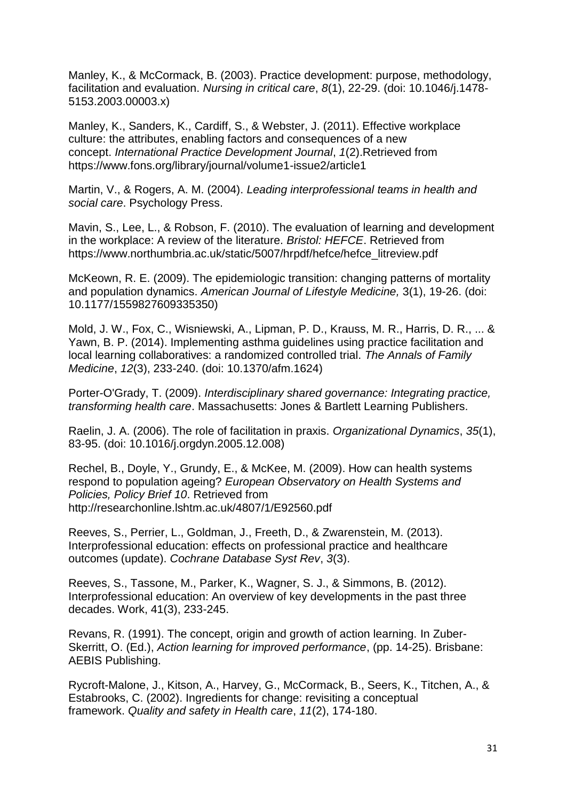Manley, K., & McCormack, B. (2003). Practice development: purpose, methodology, facilitation and evaluation. *Nursing in critical care*, *8*(1), 22-29. (doi: 10.1046/j.1478- 5153.2003.00003.x)

Manley, K., Sanders, K., Cardiff, S., & Webster, J. (2011). Effective workplace culture: the attributes, enabling factors and consequences of a new concept. *International Practice Development Journal*, *1*(2).Retrieved from https://www.fons.org/library/journal/volume1-issue2/article1

Martin, V., & Rogers, A. M. (2004). *Leading interprofessional teams in health and social care*. Psychology Press.

Mavin, S., Lee, L., & Robson, F. (2010). The evaluation of learning and development in the workplace: A review of the literature. *Bristol: HEFCE*. Retrieved from https://www.northumbria.ac.uk/static/5007/hrpdf/hefce/hefce\_litreview.pdf

McKeown, R. E. (2009). The epidemiologic transition: changing patterns of mortality and population dynamics. *American Journal of Lifestyle Medicine,* 3(1), 19-26. (doi: 10.1177/1559827609335350)

Mold, J. W., Fox, C., Wisniewski, A., Lipman, P. D., Krauss, M. R., Harris, D. R., ... & Yawn, B. P. (2014). Implementing asthma guidelines using practice facilitation and local learning collaboratives: a randomized controlled trial. *The Annals of Family Medicine*, *12*(3), 233-240. (doi: 10.1370/afm.1624)

Porter-O'Grady, T. (2009). *Interdisciplinary shared governance: Integrating practice, transforming health care*. Massachusetts: Jones & Bartlett Learning Publishers.

Raelin, J. A. (2006). The role of facilitation in praxis. *Organizational Dynamics*, *35*(1), 83-95. (doi: 10.1016/j.orgdyn.2005.12.008)

Rechel, B., Doyle, Y., Grundy, E., & McKee, M. (2009). How can health systems respond to population ageing? *European Observatory on Health Systems and Policies, Policy Brief 10*. Retrieved from <http://researchonline.lshtm.ac.uk/4807/1/E92560.pdf>

Reeves, S., Perrier, L., Goldman, J., Freeth, D., & Zwarenstein, M. (2013). Interprofessional education: effects on professional practice and healthcare outcomes (update). *Cochrane Database Syst Rev*, *3*(3).

Reeves, S., Tassone, M., Parker, K., Wagner, S. J., & Simmons, B. (2012). Interprofessional education: An overview of key developments in the past three decades. Work, 41(3), 233-245.

Revans, R. (1991). The concept, origin and growth of action learning. In Zuber-Skerritt, O. (Ed.), *Action learning for improved performance*, (pp. 14-25). Brisbane: AEBIS Publishing.

Rycroft-Malone, J., Kitson, A., Harvey, G., McCormack, B., Seers, K., Titchen, A., & Estabrooks, C. (2002). Ingredients for change: revisiting a conceptual framework. *Quality and safety in Health care*, *11*(2), 174-180.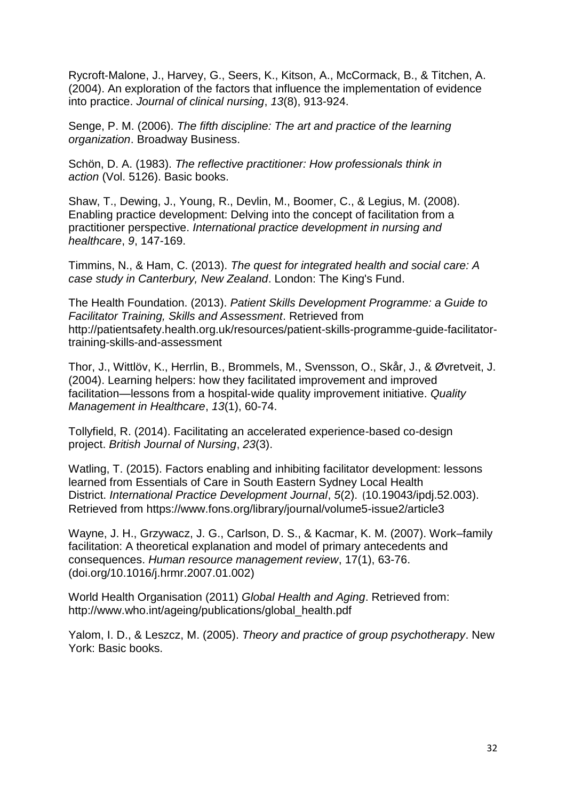Rycroft‐Malone, J., Harvey, G., Seers, K., Kitson, A., McCormack, B., & Titchen, A. (2004). An exploration of the factors that influence the implementation of evidence into practice. *Journal of clinical nursing*, *13*(8), 913-924.

Senge, P. M. (2006). *The fifth discipline: The art and practice of the learning organization*. Broadway Business.

Schön, D. A. (1983). *The reflective practitioner: How professionals think in action* (Vol. 5126). Basic books.

Shaw, T., Dewing, J., Young, R., Devlin, M., Boomer, C., & Legius, M. (2008). Enabling practice development: Delving into the concept of facilitation from a practitioner perspective. *International practice development in nursing and healthcare*, *9*, 147-169.

Timmins, N., & Ham, C. (2013). *The quest for integrated health and social care: A case study in Canterbury, New Zealand*. London: The King's Fund.

The Health Foundation. (2013). *Patient Skills Development Programme: a Guide to Facilitator Training, Skills and Assessment*. Retrieved from [http://patientsafety.health.org.uk/resources/patient-skills-programme-guide-facilitator](http://patientsafety.health.org.uk/resources/patient-skills-programme-guide-facilitator-training-skills-and-assessment)[training-skills-and-assessment](http://patientsafety.health.org.uk/resources/patient-skills-programme-guide-facilitator-training-skills-and-assessment)

Thor, J., Wittlöv, K., Herrlin, B., Brommels, M., Svensson, O., Skår, J., & Øvretveit, J. (2004). Learning helpers: how they facilitated improvement and improved facilitation—lessons from a hospital‐wide quality improvement initiative. *Quality Management in Healthcare*, *13*(1), 60-74.

Tollyfield, R. (2014). Facilitating an accelerated experience-based co-design project. *British Journal of Nursing*, *23*(3).

Watling, T. (2015). Factors enabling and inhibiting facilitator development: lessons learned from Essentials of Care in South Eastern Sydney Local Health District. *International Practice Development Journal*, *5*(2). (10.19043/ipdj.52.003). Retrieved from <https://www.fons.org/library/journal/volume5-issue2/article3>

Wayne, J. H., Grzywacz, J. G., Carlson, D. S., & Kacmar, K. M. (2007). Work–family facilitation: A theoretical explanation and model of primary antecedents and consequences. *Human resource management review*, 17(1), 63-76. ([doi.org/10.1016/j.hrmr.2007.01.002\)](https://doi.org/10.1016/j.hrmr.2007.01.002)

World Health Organisation (2011) *Global Health and Aging*. Retrieved from: http://www.who.int/ageing/publications/global\_health.pdf

Yalom, I. D., & Leszcz, M. (2005). *Theory and practice of group psychotherapy*. New York: Basic books.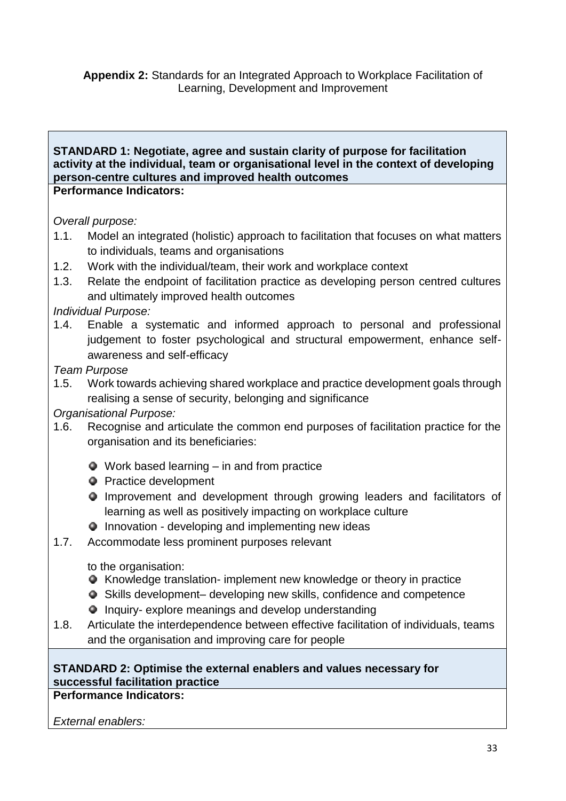### **STANDARD 1: Negotiate, agree and sustain clarity of purpose for facilitation activity at the individual, team or organisational level in the context of developing person-centre cultures and improved health outcomes Performance Indicators:**

*Overall purpose:*

- 1.1. Model an integrated (holistic) approach to facilitation that focuses on what matters to individuals, teams and organisations
- 1.2. Work with the individual/team, their work and workplace context
- 1.3. Relate the endpoint of facilitation practice as developing person centred cultures and ultimately improved health outcomes

*Individual Purpose:*

1.4. Enable a systematic and informed approach to personal and professional judgement to foster psychological and structural empowerment, enhance selfawareness and self-efficacy

*Team Purpose*

1.5. Work towards achieving shared workplace and practice development goals through realising a sense of security, belonging and significance

*Organisational Purpose:*

- 1.6. Recognise and articulate the common end purposes of facilitation practice for the organisation and its beneficiaries:
	- Work based learning in and from practice
	- **•** Practice development
	- Improvement and development through growing leaders and facilitators of learning as well as positively impacting on workplace culture
	- $\bullet$  Innovation developing and implementing new ideas
- 1.7. Accommodate less prominent purposes relevant

to the organisation:

- Knowledge translation- implement new knowledge or theory in practice
- Skills development– developing new skills, confidence and competence
- $\bullet$  Inquiry- explore meanings and develop understanding
- 1.8. Articulate the interdependence between effective facilitation of individuals, teams and the organisation and improving care for people

# **STANDARD 2: Optimise the external enablers and values necessary for successful facilitation practice**

**Performance Indicators:**

*External enablers:*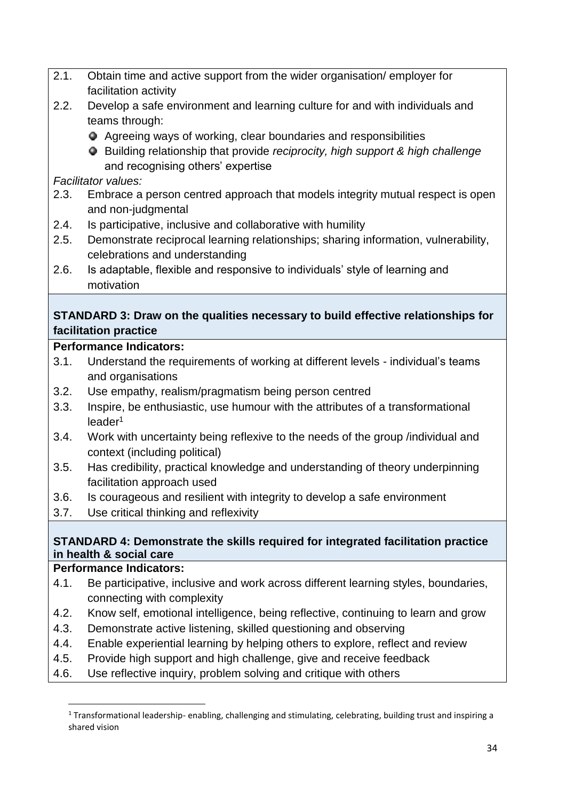- 2.1. Obtain time and active support from the wider organisation/ employer for facilitation activity
- 2.2. Develop a safe environment and learning culture for and with individuals and teams through:
	- Agreeing ways of working, clear boundaries and responsibilities

Building relationship that provide *reciprocity, high support & high challenge* and recognising others' expertise

# *Facilitator values:*

- 2.3. Embrace a person centred approach that models integrity mutual respect is open and non-judgmental
- 2.4. Is participative, inclusive and collaborative with humility
- 2.5. Demonstrate reciprocal learning relationships; sharing information, vulnerability, celebrations and understanding
- 2.6. Is adaptable, flexible and responsive to individuals' style of learning and motivation

# **STANDARD 3: Draw on the qualities necessary to build effective relationships for facilitation practice**

# **Performance Indicators:**

- 3.1. Understand the requirements of working at different levels individual's teams and organisations
- 3.2. Use empathy, realism/pragmatism being person centred
- 3.3. Inspire, be enthusiastic, use humour with the attributes of a transformational leader<sup>1</sup>
- 3.4. Work with uncertainty being reflexive to the needs of the group /individual and context (including political)
- 3.5. Has credibility, practical knowledge and understanding of theory underpinning facilitation approach used
- 3.6. Is courageous and resilient with integrity to develop a safe environment
- 3.7. Use critical thinking and reflexivity

# **STANDARD 4: Demonstrate the skills required for integrated facilitation practice in health & social care**

# **Performance Indicators:**

- 4.1. Be participative, inclusive and work across different learning styles, boundaries, connecting with complexity
- 4.2. Know self, emotional intelligence, being reflective, continuing to learn and grow
- 4.3. Demonstrate active listening, skilled questioning and observing
- 4.4. Enable experiential learning by helping others to explore, reflect and review
- 4.5. Provide high support and high challenge, give and receive feedback
- 4.6. Use reflective inquiry, problem solving and critique with others

 $1$  Transformational leadership- enabling, challenging and stimulating, celebrating, building trust and inspiring a shared vision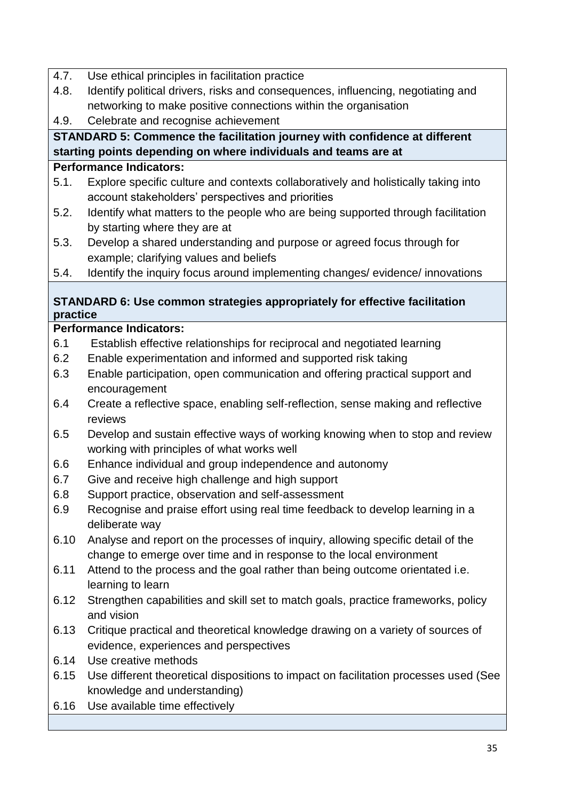- 4.7. Use ethical principles in facilitation practice
- 4.8. Identify political drivers, risks and consequences, influencing, negotiating and networking to make positive connections within the organisation
- 4.9. Celebrate and recognise achievement

# **STANDARD 5: Commence the facilitation journey with confidence at different starting points depending on where individuals and teams are at**

# **Performance Indicators:**

- 5.1. Explore specific culture and contexts collaboratively and holistically taking into account stakeholders' perspectives and priorities
- 5.2. Identify what matters to the people who are being supported through facilitation by starting where they are at
- 5.3. Develop a shared understanding and purpose or agreed focus through for example; clarifying values and beliefs
- 5.4. Identify the inquiry focus around implementing changes/ evidence/ innovations

# **STANDARD 6: Use common strategies appropriately for effective facilitation practice**

# **Performance Indicators:**

- 6.1 Establish effective relationships for reciprocal and negotiated learning
- 6.2 Enable experimentation and informed and supported risk taking
- 6.3 Enable participation, open communication and offering practical support and encouragement
- 6.4 Create a reflective space, enabling self-reflection, sense making and reflective reviews
- 6.5 Develop and sustain effective ways of working knowing when to stop and review working with principles of what works well
- 6.6 Enhance individual and group independence and autonomy
- 6.7 Give and receive high challenge and high support
- 6.8 Support practice, observation and self-assessment
- 6.9 Recognise and praise effort using real time feedback to develop learning in a deliberate way
- 6.10 Analyse and report on the processes of inquiry, allowing specific detail of the change to emerge over time and in response to the local environment
- 6.11 Attend to the process and the goal rather than being outcome orientated i.e. learning to learn
- 6.12 Strengthen capabilities and skill set to match goals, practice frameworks, policy and vision
- 6.13 Critique practical and theoretical knowledge drawing on a variety of sources of evidence, experiences and perspectives
- 6.14 Use creative methods
- 6.15 Use different theoretical dispositions to impact on facilitation processes used (See knowledge and understanding)
- 6.16 Use available time effectively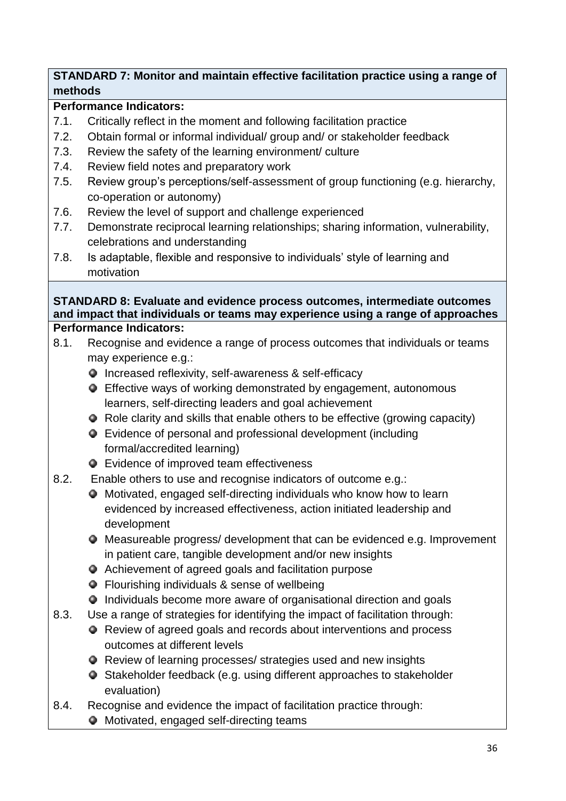# **STANDARD 7: Monitor and maintain effective facilitation practice using a range of methods**

# **Performance Indicators:**

- 7.1. Critically reflect in the moment and following facilitation practice
- 7.2. Obtain formal or informal individual/ group and/ or stakeholder feedback
- 7.3. Review the safety of the learning environment/ culture
- 7.4. Review field notes and preparatory work
- 7.5. Review group's perceptions/self-assessment of group functioning (e.g. hierarchy, co-operation or autonomy)
- 7.6. Review the level of support and challenge experienced
- 7.7. Demonstrate reciprocal learning relationships; sharing information, vulnerability, celebrations and understanding
- 7.8. Is adaptable, flexible and responsive to individuals' style of learning and motivation

### **STANDARD 8: Evaluate and evidence process outcomes, intermediate outcomes and impact that individuals or teams may experience using a range of approaches Performance Indicators:**

- 8.1. Recognise and evidence a range of process outcomes that individuals or teams may experience e.g.:
	- Increased reflexivity, self-awareness & self-efficacy
	- Effective ways of working demonstrated by engagement, autonomous learners, self-directing leaders and goal achievement
	- Role clarity and skills that enable others to be effective (growing capacity)
	- Evidence of personal and professional development (including formal/accredited learning)
	- Evidence of improved team effectiveness
- 8.2. Enable others to use and recognise indicators of outcome e.g.:
	- Motivated, engaged self-directing individuals who know how to learn evidenced by increased effectiveness, action initiated leadership and development
	- Measureable progress/ development that can be evidenced e.g. Improvement in patient care, tangible development and/or new insights
	- Achievement of agreed goals and facilitation purpose
	- Flourishing individuals & sense of wellbeing
	- Individuals become more aware of organisational direction and goals
- 8.3. Use a range of strategies for identifying the impact of facilitation through:
	- Review of agreed goals and records about interventions and process outcomes at different levels
	- Review of learning processes/ strategies used and new insights
	- Stakeholder feedback (e.g. using different approaches to stakeholder evaluation)
- 8.4. Recognise and evidence the impact of facilitation practice through:
	- Motivated, engaged self-directing teams